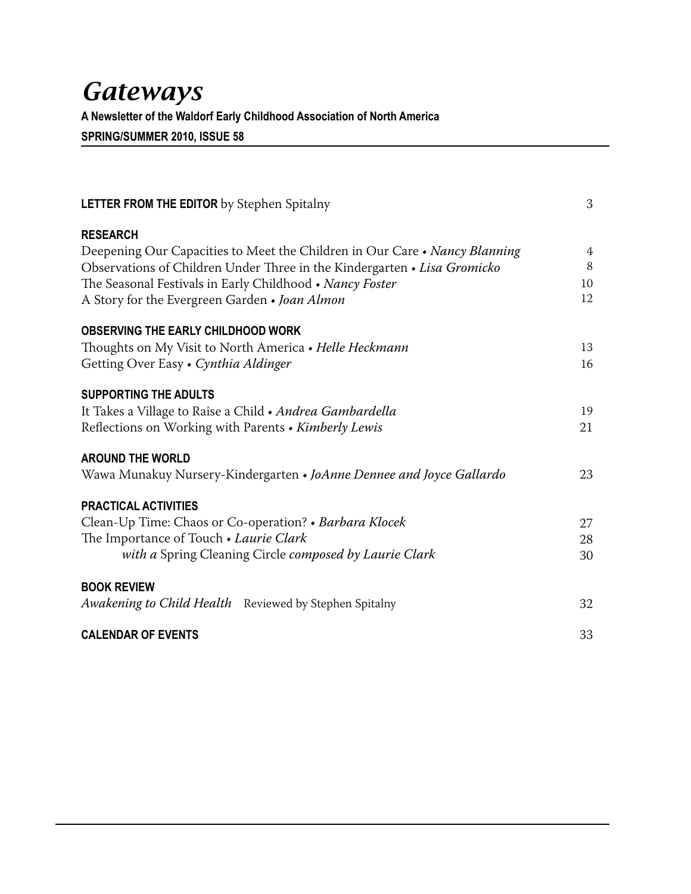# **Gateways**

A Newsletter of the Waldorf Early Childhood Association of North America SPRING/SUMMER 2010, ISSUE 58

| <b>LETTER FROM THE EDITOR</b> by Stephen Spitalny                          | 3              |
|----------------------------------------------------------------------------|----------------|
| <b>RESEARCH</b>                                                            |                |
| Deepening Our Capacities to Meet the Children in Our Care • Nancy Blanning | $\overline{4}$ |
| Observations of Children Under Three in the Kindergarten • Lisa Gromicko   | 8              |
| The Seasonal Festivals in Early Childhood • Nancy Foster                   | 10             |
| A Story for the Evergreen Garden • Joan Almon                              | 12             |
| OBSERVING THE EARLY CHILDHOOD WORK                                         |                |
| Thoughts on My Visit to North America • Helle Heckmann                     | 13             |
| Getting Over Easy • Cynthia Aldinger                                       | 16             |
| <b>SUPPORTING THE ADULTS</b>                                               |                |
| It Takes a Village to Raise a Child • Andrea Gambardella                   | 19             |
| Reflections on Working with Parents • Kimberly Lewis                       | 21             |
| <b>AROUND THE WORLD</b>                                                    |                |
| Wawa Munakuy Nursery-Kindergarten • JoAnne Dennee and Joyce Gallardo       | 23             |
| <b>PRACTICAL ACTIVITIES</b>                                                |                |
| Clean-Up Time: Chaos or Co-operation? • Barbara Klocek                     | 27             |
| The Importance of Touch . Laurie Clark                                     | 28             |
| with a Spring Cleaning Circle composed by Laurie Clark                     | 30             |
| <b>BOOK REVIEW</b>                                                         |                |
| Awakening to Child Health Reviewed by Stephen Spitalny                     | 32             |
| <b>CALENDAR OF EVENTS</b>                                                  | 33             |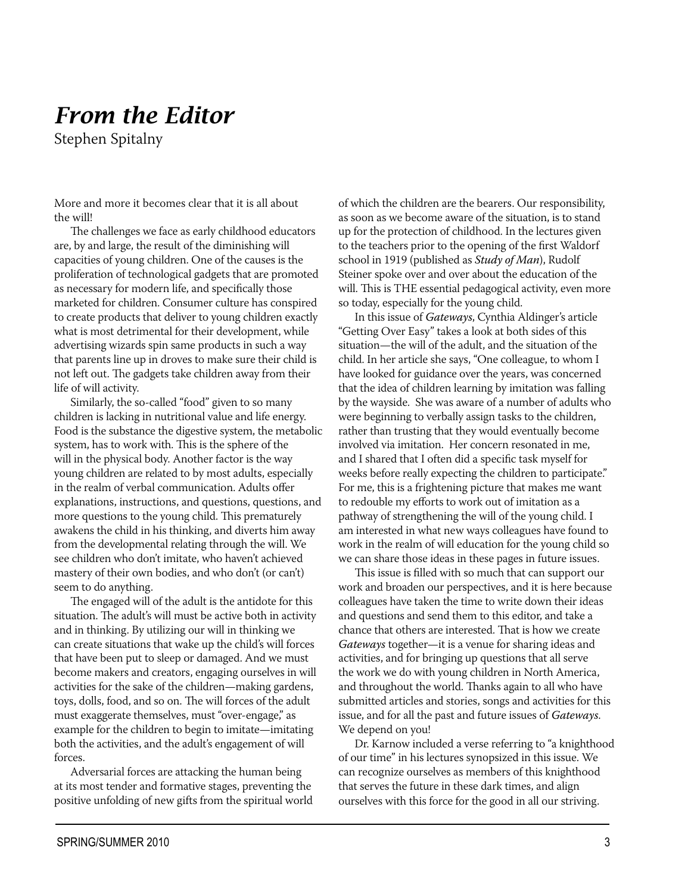# **From the Editor**

Stephen Spitalny

More and more it becomes clear that it is all about the will!

The challenges we face as early childhood educators are, by and large, the result of the diminishing will capacities of young children. One of the causes is the proliferation of technological gadgets that are promoted as necessary for modern life, and specifically those marketed for children. Consumer culture has conspired to create products that deliver to young children exactly what is most detrimental for their development, while advertising wizards spin same products in such a way that parents line up in droves to make sure their child is not left out. The gadgets take children away from their life of will activity.

Similarly, the so-called "food" given to so many children is lacking in nutritional value and life energy. Food is the substance the digestive system, the metabolic system, has to work with. This is the sphere of the will in the physical body. Another factor is the way voung children are related to by most adults, especially in the realm of verbal communication. Adults offer explanations, instructions, and questions, questions, and more questions to the young child. This prematurely awakens the child in his thinking, and diverts him away from the developmental relating through the will. We see children who don't imitate, who haven't achieved mastery of their own bodies, and who don't (or can't) seem to do anything.

The engaged will of the adult is the antidote for this situation. The adult's will must be active both in activity and in thinking. By utilizing our will in thinking we can create situations that wake up the child's will forces that have been put to sleep or damaged. And we must become makers and creators, engaging ourselves in will activities for the sake of the children—making gardens, toys, dolls, food, and so on. The will forces of the adult must exaggerate themselves, must "over-engage," as example for the children to begin to imitate—imitating both the activities, and the adult's engagement of will forces.

Adversarial forces are attacking the human being at its most tender and formative stages, preventing the positive unfolding of new gifts from the spiritual world of which the children are the bearers. Our responsibility, as soon as we become aware of the situation, is to stand up for the protection of childhood. In the lectures given to the teachers prior to the opening of the first Waldorf school in 1919 (published as Study of Man), Rudolf Steiner spoke over and over about the education of the will. This is THE essential pedagogical activity, even more so today, especially for the young child.

In this issue of Gateways, Cynthia Aldinger's article "Getting Over Easy" takes a look at both sides of this situation-the will of the adult, and the situation of the child. In her article she says, "One colleague, to whom I have looked for guidance over the years, was concerned that the idea of children learning by imitation was falling by the wayside. She was aware of a number of adults who were beginning to verbally assign tasks to the children, rather than trusting that they would eventually become involved via imitation. Her concern resonated in me, and I shared that I often did a specific task myself for weeks before really expecting the children to participate." For me, this is a frightening picture that makes me want to redouble my efforts to work out of imitation as a pathway of strengthening the will of the young child. I am interested in what new ways colleagues have found to work in the realm of will education for the young child so we can share those ideas in these pages in future issues.

This issue is filled with so much that can support our work and broaden our perspectives, and it is here because colleagues have taken the time to write down their ideas and questions and send them to this editor, and take a chance that others are interested. That is how we create Gateways together-it is a venue for sharing ideas and activities, and for bringing up questions that all serve the work we do with young children in North America, and throughout the world. Thanks again to all who have submitted articles and stories, songs and activities for this issue, and for all the past and future issues of Gateways. We depend on you!

Dr. Karnow included a verse referring to "a knighthood of our time" in his lectures synopsized in this issue. We can recognize ourselves as members of this knighthood that serves the future in these dark times, and align ourselves with this force for the good in all our striving.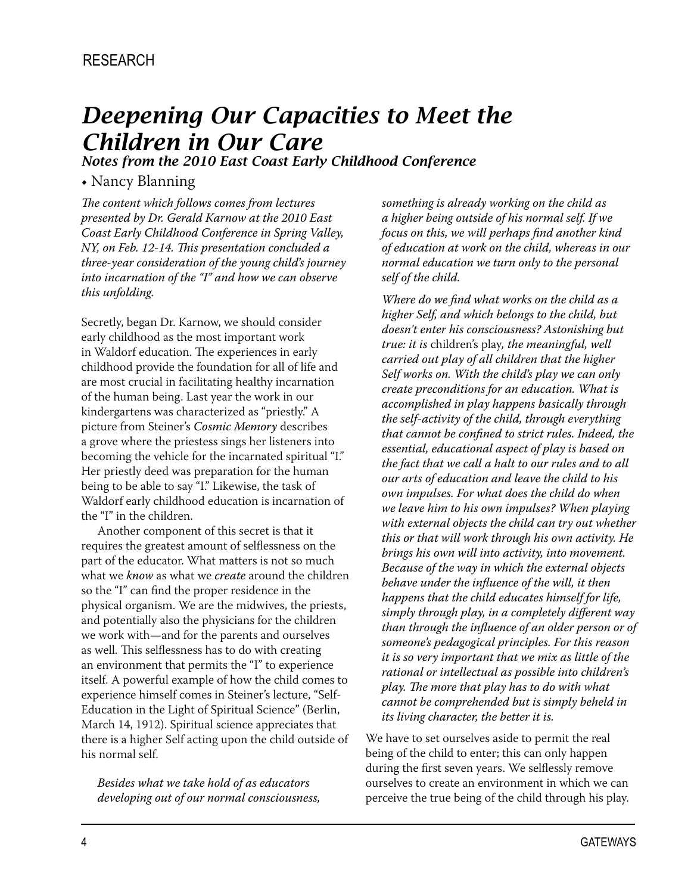# **Deepening Our Capacities to Meet the Children in Our Care**

Notes from the 2010 East Coast Early Childhood Conference

#### • Nancy Blanning

The content which follows comes from lectures presented by Dr. Gerald Karnow at the 2010 East Coast Early Childhood Conference in Spring Valley, NY, on Feb. 12-14. This presentation concluded a three-year consideration of the young child's journey into incarnation of the "I" and how we can observe this unfolding.

Secretly, began Dr. Karnow, we should consider early childhood as the most important work in Waldorf education. The experiences in early childhood provide the foundation for all of life and are most crucial in facilitating healthy incarnation of the human being. Last year the work in our kindergartens was characterized as "priestly." A picture from Steiner's Cosmic Memory describes a grove where the priestess sings her listeners into becoming the vehicle for the incarnated spiritual "I." Her priestly deed was preparation for the human being to be able to say "I." Likewise, the task of Waldorf early childhood education is incarnation of the "I" in the children.

Another component of this secret is that it requires the greatest amount of selflessness on the part of the educator. What matters is not so much what we *know* as what we *create* around the children so the "I" can find the proper residence in the physical organism. We are the midwives, the priests, and potentially also the physicians for the children we work with—and for the parents and ourselves as well. This selflessness has to do with creating an environment that permits the "I" to experience itself. A powerful example of how the child comes to experience himself comes in Steiner's lecture, "Self-Education in the Light of Spiritual Science" (Berlin, March 14, 1912). Spiritual science appreciates that there is a higher Self acting upon the child outside of his normal self.

Besides what we take hold of as educators developing out of our normal consciousness,

something is already working on the child as a higher being outside of his normal self. If we focus on this, we will perhaps find another kind of education at work on the child, whereas in our normal education we turn only to the personal self of the child.

Where do we find what works on the child as a higher Self, and which belongs to the child, but doesn't enter his consciousness? Astonishing but true: it is children's play, the meaningful, well carried out play of all children that the higher Self works on. With the child's play we can only create preconditions for an education. What is accomplished in play happens basically through the self-activity of the child, through everything that cannot be confined to strict rules. Indeed, the essential, educational aspect of play is based on the fact that we call a halt to our rules and to all our arts of education and leave the child to his own impulses. For what does the child do when we leave him to his own impulses? When playing with external objects the child can try out whether this or that will work through his own activity. He brings his own will into activity, into movement. Because of the way in which the external objects behave under the influence of the will, it then happens that the child educates himself for life, simply through play, in a completely different way than through the influence of an older person or of someone's pedagogical principles. For this reason it is so very important that we mix as little of the rational or intellectual as possible into children's play. The more that play has to do with what cannot be comprehended but is simply beheld in its living character, the better it is.

We have to set ourselves aside to permit the real being of the child to enter; this can only happen during the first seven years. We selflessly remove ourselves to create an environment in which we can perceive the true being of the child through his play.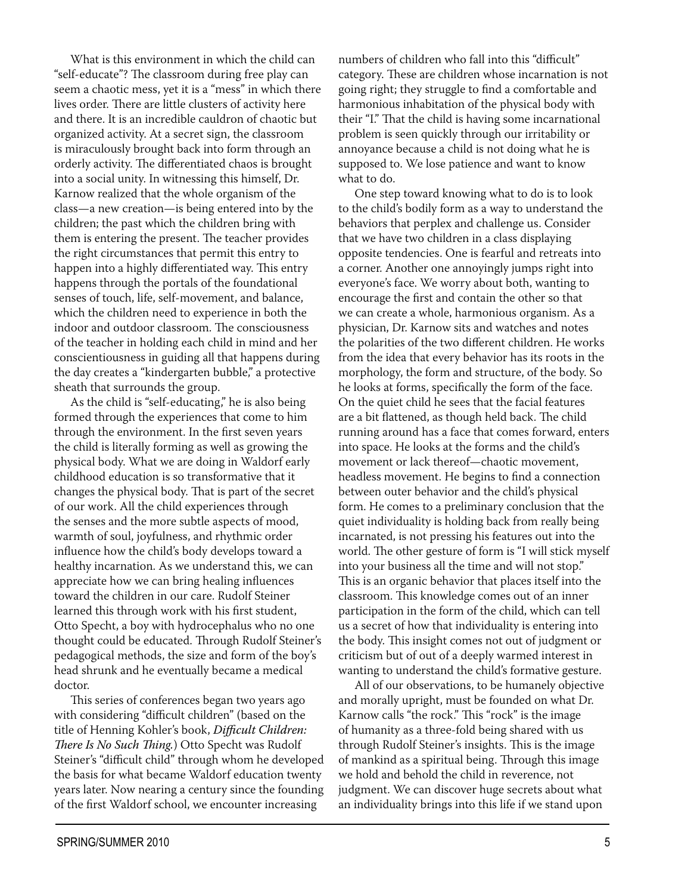What is this environment in which the child can "self-educate"? The classroom during free play can seem a chaotic mess, yet it is a "mess" in which there lives order. There are little clusters of activity here and there. It is an incredible cauldron of chaotic but organized activity. At a secret sign, the classroom is miraculously brought back into form through an orderly activity. The differentiated chaos is brought into a social unity. In witnessing this himself, Dr. Karnow realized that the whole organism of the class—a new creation—is being entered into by the children; the past which the children bring with them is entering the present. The teacher provides the right circumstances that permit this entry to happen into a highly differentiated way. This entry happens through the portals of the foundational senses of touch, life, self-movement, and balance, which the children need to experience in both the indoor and outdoor classroom. The consciousness of the teacher in holding each child in mind and her conscientiousness in guiding all that happens during the day creates a "kindergarten bubble," a protective sheath that surrounds the group.

As the child is "self-educating," he is also being formed through the experiences that come to him through the environment. In the first seven years the child is literally forming as well as growing the physical body. What we are doing in Waldorf early childhood education is so transformative that it changes the physical body. That is part of the secret of our work. All the child experiences through the senses and the more subtle aspects of mood, warmth of soul, joyfulness, and rhythmic order influence how the child's body develops toward a healthy incarnation. As we understand this, we can appreciate how we can bring healing influences toward the children in our care. Rudolf Steiner learned this through work with his first student, Otto Specht, a boy with hydrocephalus who no one thought could be educated. Through Rudolf Steiner's pedagogical methods, the size and form of the boy's head shrunk and he eventually became a medical doctor.

This series of conferences began two years ago with considering "difficult children" (based on the title of Henning Kohler's book, Difficult Children: There Is No Such Thing.) Otto Specht was Rudolf Steiner's "difficult child" through whom he developed the basis for what became Waldorf education twenty years later. Now nearing a century since the founding of the first Waldorf school, we encounter increasing

numbers of children who fall into this "difficult" category. These are children whose incarnation is not going right; they struggle to find a comfortable and harmonious inhabitation of the physical body with their "I." That the child is having some incarnational problem is seen quickly through our irritability or annoyance because a child is not doing what he is supposed to. We lose patience and want to know what to do.

One step toward knowing what to do is to look to the child's bodily form as a way to understand the behaviors that perplex and challenge us. Consider that we have two children in a class displaying opposite tendencies. One is fearful and retreats into a corner. Another one annoyingly jumps right into everyone's face. We worry about both, wanting to encourage the first and contain the other so that we can create a whole, harmonious organism. As a physician, Dr. Karnow sits and watches and notes the polarities of the two different children. He works from the idea that every behavior has its roots in the morphology, the form and structure, of the body. So he looks at forms, specifically the form of the face. On the quiet child he sees that the facial features are a bit flattened, as though held back. The child running around has a face that comes forward, enters into space. He looks at the forms and the child's movement or lack thereof-chaotic movement, headless movement. He begins to find a connection between outer behavior and the child's physical form. He comes to a preliminary conclusion that the quiet individuality is holding back from really being incarnated, is not pressing his features out into the world. The other gesture of form is "I will stick myself into your business all the time and will not stop." This is an organic behavior that places itself into the classroom. This knowledge comes out of an inner participation in the form of the child, which can tell us a secret of how that individuality is entering into the body. This insight comes not out of judgment or criticism but of out of a deeply warmed interest in wanting to understand the child's formative gesture.

All of our observations, to be humanely objective and morally upright, must be founded on what Dr. Karnow calls "the rock." This "rock" is the image of humanity as a three-fold being shared with us through Rudolf Steiner's insights. This is the image of mankind as a spiritual being. Through this image we hold and behold the child in reverence, not judgment. We can discover huge secrets about what an individuality brings into this life if we stand upon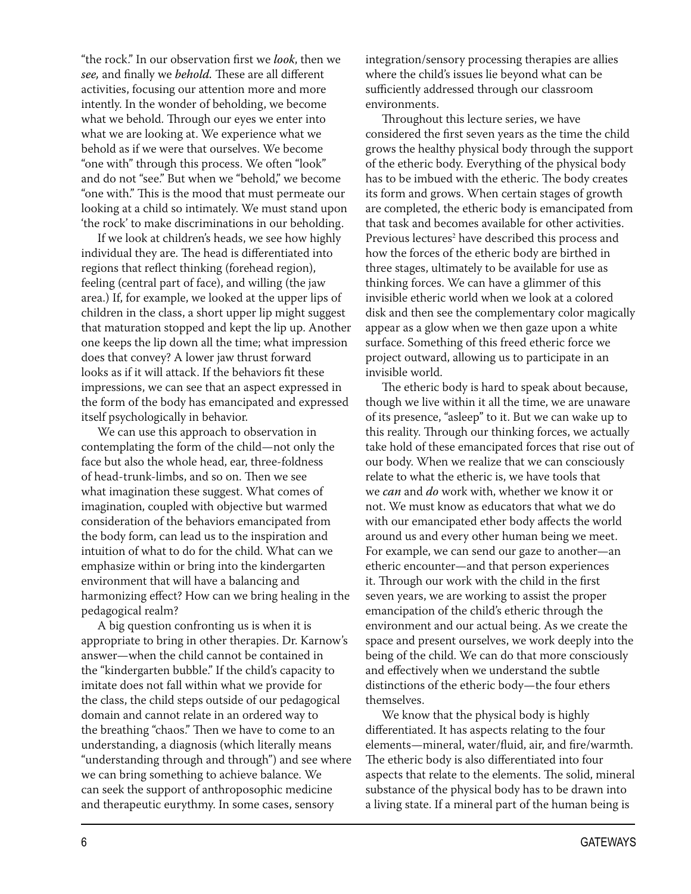"the rock." In our observation first we *look*, then we see, and finally we behold. These are all different activities, focusing our attention more and more intently. In the wonder of beholding, we become what we behold. Through our eyes we enter into what we are looking at. We experience what we behold as if we were that ourselves. We become "one with" through this process. We often "look" and do not "see." But when we "behold," we become "one with." This is the mood that must permeate our looking at a child so intimately. We must stand upon 'the rock' to make discriminations in our beholding.

If we look at children's heads, we see how highly individual they are. The head is differentiated into regions that reflect thinking (forehead region), feeling (central part of face), and willing (the jaw area.) If, for example, we looked at the upper lips of children in the class, a short upper lip might suggest that maturation stopped and kept the lip up. Another one keeps the lip down all the time; what impression does that convey? A lower jaw thrust forward looks as if it will attack. If the behaviors fit these impressions, we can see that an aspect expressed in the form of the body has emancipated and expressed itself psychologically in behavior.

We can use this approach to observation in contemplating the form of the child-not only the face but also the whole head, ear, three-foldness of head-trunk-limbs, and so on. Then we see what imagination these suggest. What comes of imagination, coupled with objective but warmed consideration of the behaviors emancipated from the body form, can lead us to the inspiration and intuition of what to do for the child. What can we emphasize within or bring into the kindergarten environment that will have a balancing and harmonizing effect? How can we bring healing in the pedagogical realm?

A big question confronting us is when it is appropriate to bring in other therapies. Dr. Karnow's answer—when the child cannot be contained in the "kindergarten bubble." If the child's capacity to imitate does not fall within what we provide for the class, the child steps outside of our pedagogical domain and cannot relate in an ordered way to the breathing "chaos." Then we have to come to an understanding, a diagnosis (which literally means "understanding through and through") and see where we can bring something to achieve balance. We can seek the support of anthroposophic medicine and therapeutic eurythmy. In some cases, sensory

integration/sensory processing therapies are allies where the child's issues lie beyond what can be sufficiently addressed through our classroom environments.

Throughout this lecture series, we have considered the first seven years as the time the child grows the healthy physical body through the support of the etheric body. Everything of the physical body has to be imbued with the etheric. The body creates its form and grows. When certain stages of growth are completed, the etheric body is emancipated from that task and becomes available for other activities. Previous lectures<sup>2</sup> have described this process and how the forces of the etheric body are birthed in three stages, ultimately to be available for use as thinking forces. We can have a glimmer of this invisible etheric world when we look at a colored disk and then see the complementary color magically appear as a glow when we then gaze upon a white surface. Something of this freed etheric force we project outward, allowing us to participate in an invisible world.

The etheric body is hard to speak about because, though we live within it all the time, we are unaware of its presence, "asleep" to it. But we can wake up to this reality. Through our thinking forces, we actually take hold of these emancipated forces that rise out of our body. When we realize that we can consciously relate to what the etheric is, we have tools that we can and do work with, whether we know it or not. We must know as educators that what we do with our emancipated ether body affects the world around us and every other human being we meet. For example, we can send our gaze to another-an etheric encounter-and that person experiences it. Through our work with the child in the first seven years, we are working to assist the proper emancipation of the child's etheric through the environment and our actual being. As we create the space and present ourselves, we work deeply into the being of the child. We can do that more consciously and effectively when we understand the subtle distinctions of the etheric body-the four ethers themselves.

We know that the physical body is highly differentiated. It has aspects relating to the four elements-mineral, water/fluid, air, and fire/warmth. The etheric body is also differentiated into four aspects that relate to the elements. The solid, mineral substance of the physical body has to be drawn into a living state. If a mineral part of the human being is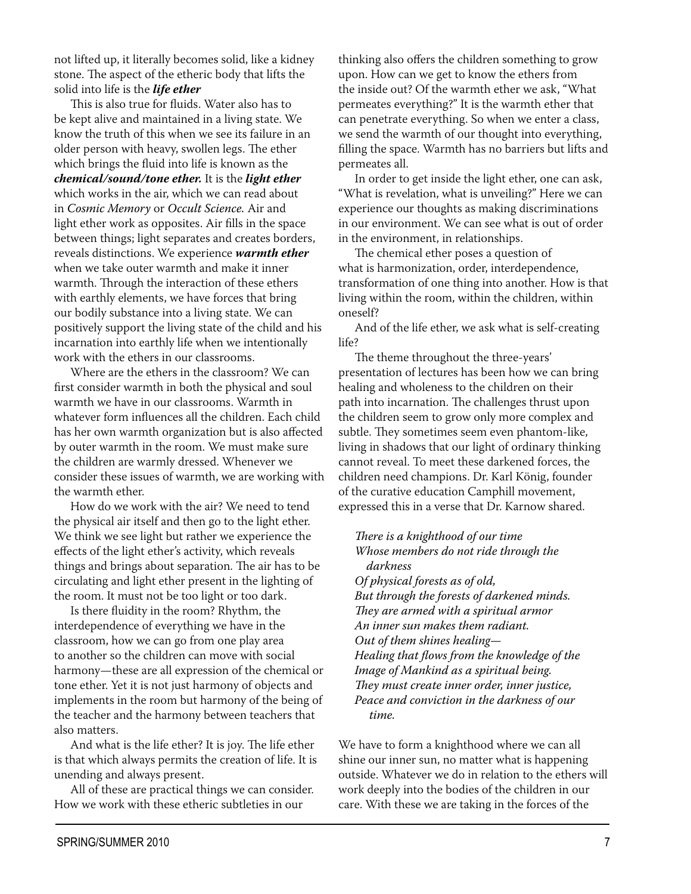not lifted up, it literally becomes solid, like a kidney stone. The aspect of the etheric body that lifts the solid into life is the *life ether* 

This is also true for fluids. Water also has to be kept alive and maintained in a living state. We know the truth of this when we see its failure in an older person with heavy, swollen legs. The ether which brings the fluid into life is known as the chemical/sound/tone ether. It is the light ether which works in the air, which we can read about in Cosmic Memory or Occult Science. Air and light ether work as opposites. Air fills in the space between things; light separates and creates borders, reveals distinctions. We experience warmth ether when we take outer warmth and make it inner warmth. Through the interaction of these ethers with earthly elements, we have forces that bring our bodily substance into a living state. We can positively support the living state of the child and his incarnation into earthly life when we intentionally work with the ethers in our classrooms.

Where are the ethers in the classroom? We can first consider warmth in both the physical and soul warmth we have in our classrooms. Warmth in whatever form influences all the children. Each child has her own warmth organization but is also affected by outer warmth in the room. We must make sure the children are warmly dressed. Whenever we consider these issues of warmth, we are working with the warmth ether.

How do we work with the air? We need to tend the physical air itself and then go to the light ether. We think we see light but rather we experience the effects of the light ether's activity, which reveals things and brings about separation. The air has to be circulating and light ether present in the lighting of the room. It must not be too light or too dark.

Is there fluidity in the room? Rhythm, the interdependence of everything we have in the classroom, how we can go from one play area to another so the children can move with social harmony-these are all expression of the chemical or tone ether. Yet it is not just harmony of objects and implements in the room but harmony of the being of the teacher and the harmony between teachers that also matters.

And what is the life ether? It is joy. The life ether is that which always permits the creation of life. It is unending and always present.

All of these are practical things we can consider. How we work with these etheric subtleties in our

thinking also offers the children something to grow upon. How can we get to know the ethers from the inside out? Of the warmth ether we ask, "What permeates everything?" It is the warmth ether that can penetrate everything. So when we enter a class, we send the warmth of our thought into everything, filling the space. Warmth has no barriers but lifts and permeates all.

In order to get inside the light ether, one can ask, "What is revelation, what is unveiling?" Here we can experience our thoughts as making discriminations in our environment. We can see what is out of order in the environment, in relationships.

The chemical ether poses a question of what is harmonization, order, interdependence, transformation of one thing into another. How is that living within the room, within the children, within oneself?

And of the life ether, we ask what is self-creating life?

The theme throughout the three-years' presentation of lectures has been how we can bring healing and wholeness to the children on their path into incarnation. The challenges thrust upon the children seem to grow only more complex and subtle. They sometimes seem even phantom-like, living in shadows that our light of ordinary thinking cannot reveal. To meet these darkened forces, the children need champions. Dr. Karl König, founder of the curative education Camphill movement, expressed this in a verse that Dr. Karnow shared.

There is a knighthood of our time Whose members do not ride through the darkness Of physical forests as of old, But through the forests of darkened minds. They are armed with a spiritual armor

An inner sun makes them radiant. Out of them shines healing-Healing that flows from the knowledge of the Image of Mankind as a spiritual being. They must create inner order, inner justice, Peace and conviction in the darkness of our time.

We have to form a knighthood where we can all shine our inner sun, no matter what is happening outside. Whatever we do in relation to the ethers will work deeply into the bodies of the children in our care. With these we are taking in the forces of the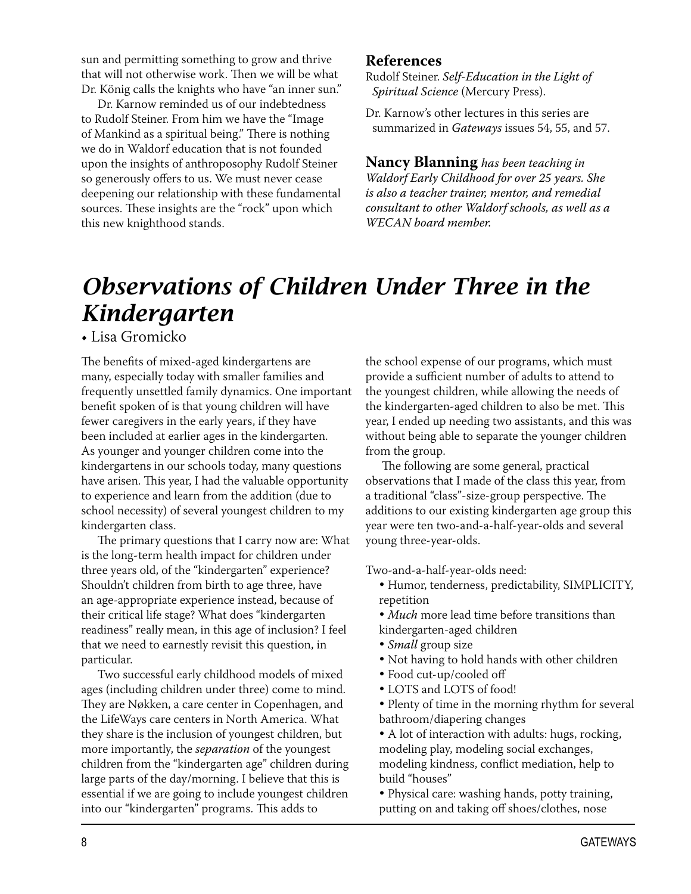sun and permitting something to grow and thrive that will not otherwise work. Then we will be what Dr. König calls the knights who have "an inner sun."

Dr. Karnow reminded us of our indebtedness to Rudolf Steiner. From him we have the "Image of Mankind as a spiritual being." There is nothing we do in Waldorf education that is not founded upon the insights of anthroposophy Rudolf Steiner so generously offers to us. We must never cease deepening our relationship with these fundamental sources. These insights are the "rock" upon which this new knighthood stands.

#### **References**

Rudolf Steiner. Self-Education in the Light of Spiritual Science (Mercury Press).

Dr. Karnow's other lectures in this series are summarized in Gateways issues 54, 55, and 57.

**Nancy Blanning** has been teaching in Waldorf Early Childhood for over 25 years. She is also a teacher trainer, mentor, and remedial consultant to other Waldorf schools, as well as a **WECAN** board member.

# **Observations of Children Under Three in the** Kindergarten

• Lisa Gromicko

The benefits of mixed-aged kindergartens are many, especially today with smaller families and frequently unsettled family dynamics. One important benefit spoken of is that young children will have fewer caregivers in the early years, if they have been included at earlier ages in the kindergarten. As younger and younger children come into the kindergartens in our schools today, many questions have arisen. This year, I had the valuable opportunity to experience and learn from the addition (due to school necessity) of several youngest children to my kindergarten class.

The primary questions that I carry now are: What is the long-term health impact for children under three years old, of the "kindergarten" experience? Shouldn't children from birth to age three, have an age-appropriate experience instead, because of their critical life stage? What does "kindergarten readiness" really mean, in this age of inclusion? I feel that we need to earnestly revisit this question, in particular.

Two successful early childhood models of mixed ages (including children under three) come to mind. They are Nøkken, a care center in Copenhagen, and the LifeWays care centers in North America. What they share is the inclusion of youngest children, but more importantly, the *separation* of the youngest children from the "kindergarten age" children during large parts of the day/morning. I believe that this is essential if we are going to include youngest children into our "kindergarten" programs. This adds to

the school expense of our programs, which must provide a sufficient number of adults to attend to the youngest children, while allowing the needs of the kindergarten-aged children to also be met. This year, I ended up needing two assistants, and this was without being able to separate the younger children from the group.

The following are some general, practical observations that I made of the class this year, from a traditional "class"-size-group perspective. The additions to our existing kindergarten age group this year were ten two-and-a-half-year-olds and several young three-year-olds.

Two-and-a-half-year-olds need:

- · Humor, tenderness, predictability, SIMPLICITY, repetition
- · Much more lead time before transitions than kindergarten-aged children
- · Small group size
- Not having to hold hands with other children
- · Food cut-up/cooled off
- LOTS and LOTS of food!
- · Plenty of time in the morning rhythm for several bathroom/diapering changes

• A lot of interaction with adults: hugs, rocking, modeling play, modeling social exchanges, modeling kindness, conflict mediation, help to build "houses"

• Physical care: washing hands, potty training, putting on and taking off shoes/clothes, nose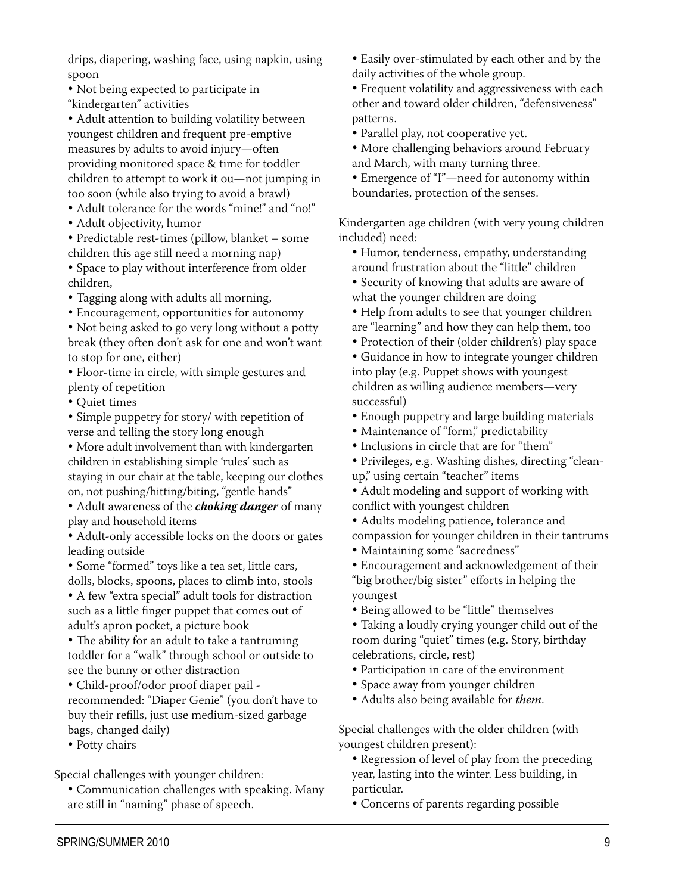drips, diapering, washing face, using napkin, using spoon

• Not being expected to participate in "kindergarten" activities

• Adult attention to building volatility between youngest children and frequent pre-emptive measures by adults to avoid injury-often providing monitored space & time for toddler children to attempt to work it ou-not jumping in too soon (while also trying to avoid a brawl)

- Adult tolerance for the words "mine!" and "no!"
- · Adult objectivity, humor

• Predictable rest-times (pillow, blanket - some children this age still need a morning nap)

• Space to play without interference from older children.

• Tagging along with adults all morning,

• Encouragement, opportunities for autonomy

• Not being asked to go very long without a potty break (they often don't ask for one and won't want to stop for one, either)

• Floor-time in circle, with simple gestures and plenty of repetition

 $\bullet$  Quiet times

• Simple puppetry for story/ with repetition of verse and telling the story long enough

• More adult involvement than with kindergarten children in establishing simple 'rules' such as staying in our chair at the table, keeping our clothes on, not pushing/hitting/biting, "gentle hands"

• Adult awareness of the *choking danger* of many play and household items

• Adult-only accessible locks on the doors or gates leading outside

• Some "formed" toys like a tea set, little cars, dolls, blocks, spoons, places to climb into, stools

• A few "extra special" adult tools for distraction such as a little finger puppet that comes out of adult's apron pocket, a picture book

• The ability for an adult to take a tantruming toddler for a "walk" through school or outside to see the bunny or other distraction

• Child-proof/odor proof diaper pail -

recommended: "Diaper Genie" (you don't have to buy their refills, just use medium-sized garbage bags, changed daily)

• Potty chairs

Special challenges with younger children:

• Communication challenges with speaking. Many are still in "naming" phase of speech.

- Easily over-stimulated by each other and by the daily activities of the whole group.
- Frequent volatility and aggressiveness with each other and toward older children, "defensiveness" patterns.

• Parallel play, not cooperative yet.

- More challenging behaviors around February and March, with many turning three.
- Emergence of "I"-need for autonomy within
- boundaries, protection of the senses.

Kindergarten age children (with very young children included) need:

- Humor, tenderness, empathy, understanding around frustration about the "little" children
- Security of knowing that adults are aware of what the younger children are doing
- Help from adults to see that younger children are "learning" and how they can help them, too
- Protection of their (older children's) play space

• Guidance in how to integrate younger children into play (e.g. Puppet shows with youngest children as willing audience members-very successful)

- Enough puppetry and large building materials
- · Maintenance of "form," predictability
- Inclusions in circle that are for "them"
- Privileges, e.g. Washing dishes, directing "cleanup," using certain "teacher" items
- Adult modeling and support of working with conflict with youngest children
- Adults modeling patience, tolerance and compassion for younger children in their tantrums
- Maintaining some "sacredness"

• Encouragement and acknowledgement of their "big brother/big sister" efforts in helping the youngest

• Being allowed to be "little" themselves

• Taking a loudly crying younger child out of the room during "quiet" times (e.g. Story, birthday celebrations, circle, rest)

- Participation in care of the environment
- Space away from younger children
- Adults also being available for them.

Special challenges with the older children (with youngest children present):

• Regression of level of play from the preceding year, lasting into the winter. Less building, in particular.

• Concerns of parents regarding possible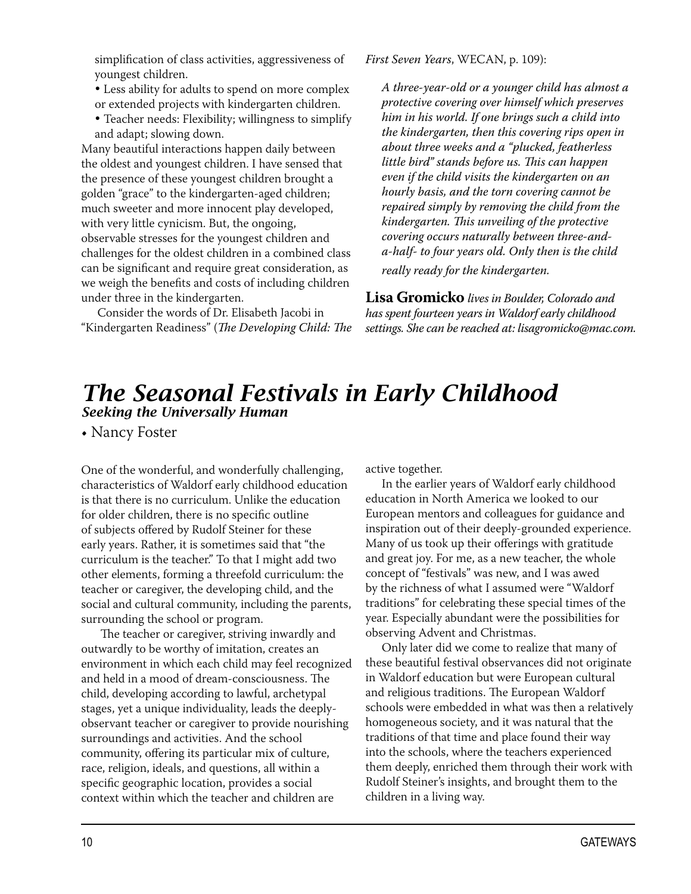simplification of class activities, aggressiveness of youngest children.

- Less ability for adults to spend on more complex or extended projects with kindergarten children.
- Teacher needs: Flexibility; willingness to simplify and adapt; slowing down.

Many beautiful interactions happen daily between the oldest and youngest children. I have sensed that the presence of these youngest children brought a golden "grace" to the kindergarten-aged children; much sweeter and more innocent play developed, with very little cynicism. But, the ongoing, observable stresses for the youngest children and challenges for the oldest children in a combined class can be significant and require great consideration, as we weigh the benefits and costs of including children under three in the kindergarten.

Consider the words of Dr. Elisabeth Jacobi in "Kindergarten Readiness" (The Developing Child: The First Seven Years, WECAN, p. 109):

A three-year-old or a younger child has almost a protective covering over himself which preserves him in his world. If one brings such a child into the kindergarten, then this covering rips open in about three weeks and a "plucked, featherless little bird" stands before us. This can happen even if the child visits the kindergarten on an hourly basis, and the torn covering cannot be repaired simply by removing the child from the kindergarten. This unveiling of the protective covering occurs naturally between three-anda-half- to four years old. Only then is the child really ready for the kindergarten.

Lisa Gromicko lives in Boulder, Colorado and has spent fourteen years in Waldorf early childhood settings. She can be reached at: lisagromicko@mac.com.

### The Seasonal Festivals in Early Childhood Seeking the Universally Human

• Nancy Foster

One of the wonderful, and wonderfully challenging, characteristics of Waldorf early childhood education is that there is no curriculum. Unlike the education for older children, there is no specific outline of subjects offered by Rudolf Steiner for these early years. Rather, it is sometimes said that "the curriculum is the teacher." To that I might add two other elements, forming a threefold curriculum: the teacher or caregiver, the developing child, and the social and cultural community, including the parents, surrounding the school or program.

The teacher or caregiver, striving inwardly and outwardly to be worthy of imitation, creates an environment in which each child may feel recognized and held in a mood of dream-consciousness. The child, developing according to lawful, archetypal stages, yet a unique individuality, leads the deeplyobservant teacher or caregiver to provide nourishing surroundings and activities. And the school community, offering its particular mix of culture, race, religion, ideals, and questions, all within a specific geographic location, provides a social context within which the teacher and children are

active together.

In the earlier years of Waldorf early childhood education in North America we looked to our European mentors and colleagues for guidance and inspiration out of their deeply-grounded experience. Many of us took up their offerings with gratitude and great joy. For me, as a new teacher, the whole concept of "festivals" was new, and I was awed by the richness of what I assumed were "Waldorf traditions" for celebrating these special times of the year. Especially abundant were the possibilities for observing Advent and Christmas.

Only later did we come to realize that many of these beautiful festival observances did not originate in Waldorf education but were European cultural and religious traditions. The European Waldorf schools were embedded in what was then a relatively homogeneous society, and it was natural that the traditions of that time and place found their way into the schools, where the teachers experienced them deeply, enriched them through their work with Rudolf Steiner's insights, and brought them to the children in a living way.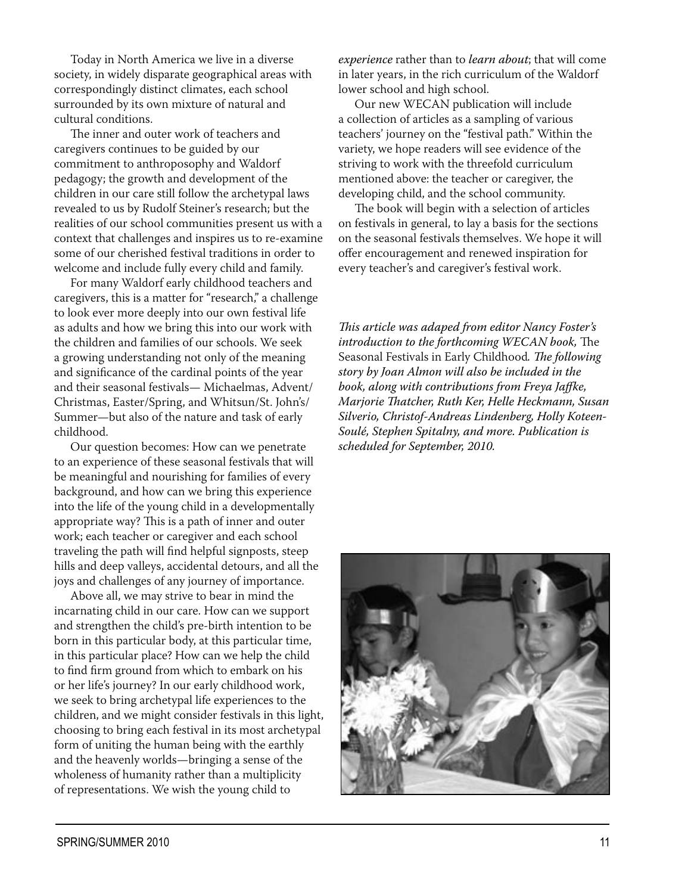Today in North America we live in a diverse society, in widely disparate geographical areas with correspondingly distinct climates, each school surrounded by its own mixture of natural and cultural conditions.

The inner and outer work of teachers and caregivers continues to be guided by our commitment to anthroposophy and Waldorf pedagogy; the growth and development of the children in our care still follow the archetypal laws revealed to us by Rudolf Steiner's research; but the realities of our school communities present us with a context that challenges and inspires us to re-examine some of our cherished festival traditions in order to welcome and include fully every child and family.

For many Waldorf early childhood teachers and caregivers, this is a matter for "research," a challenge to look ever more deeply into our own festival life as adults and how we bring this into our work with the children and families of our schools. We seek a growing understanding not only of the meaning and significance of the cardinal points of the year and their seasonal festivals-Michaelmas, Advent/ Christmas, Easter/Spring, and Whitsun/St. John's/ Summer-but also of the nature and task of early childhood.

Our question becomes: How can we penetrate to an experience of these seasonal festivals that will be meaningful and nourishing for families of every background, and how can we bring this experience into the life of the young child in a developmentally appropriate way? This is a path of inner and outer work; each teacher or caregiver and each school traveling the path will find helpful signposts, steep hills and deep valleys, accidental detours, and all the joys and challenges of any journey of importance.

Above all, we may strive to bear in mind the incarnating child in our care. How can we support and strengthen the child's pre-birth intention to be born in this particular body, at this particular time, in this particular place? How can we help the child to find firm ground from which to embark on his or her life's journey? In our early childhood work, we seek to bring archetypal life experiences to the children, and we might consider festivals in this light, choosing to bring each festival in its most archetypal form of uniting the human being with the earthly and the heavenly worlds—bringing a sense of the wholeness of humanity rather than a multiplicity of representations. We wish the young child to

experience rather than to learn about; that will come in later years, in the rich curriculum of the Waldorf lower school and high school.

Our new WECAN publication will include a collection of articles as a sampling of various teachers' journey on the "festival path." Within the variety, we hope readers will see evidence of the striving to work with the threefold curriculum mentioned above: the teacher or caregiver, the developing child, and the school community.

The book will begin with a selection of articles on festivals in general, to lay a basis for the sections on the seasonal festivals themselves. We hope it will offer encouragement and renewed inspiration for every teacher's and caregiver's festival work.

This article was adaped from editor Nancy Foster's introduction to the forthcoming WECAN book, The Seasonal Festivals in Early Childhood. The following story by Joan Almon will also be included in the book, along with contributions from Freya Jaffke, Marjorie Thatcher, Ruth Ker, Helle Heckmann, Susan Silverio, Christof-Andreas Lindenberg, Holly Koteen-Soulé, Stephen Spitalny, and more. Publication is scheduled for September, 2010.

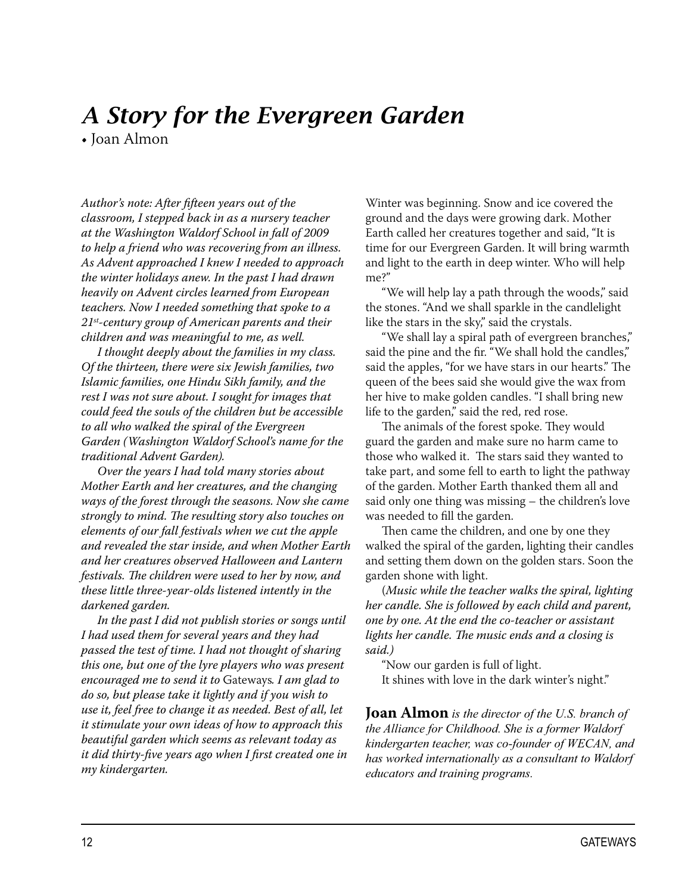# A Story for the Evergreen Garden

• Joan Almon

Author's note: After fifteen years out of the classroom, I stepped back in as a nursery teacher at the Washington Waldorf School in fall of 2009 to help a friend who was recovering from an illness. As Advent approached I knew I needed to approach the winter holidays anew. In the past I had drawn heavily on Advent circles learned from European teachers. Now I needed something that spoke to a  $21^{st}$ -century group of American parents and their children and was meaningful to me, as well.

I thought deeply about the families in my class. Of the thirteen, there were six Jewish families, two Islamic families, one Hindu Sikh family, and the rest I was not sure about. I sought for images that could feed the souls of the children but be accessible to all who walked the spiral of the Evergreen Garden (Washington Waldorf School's name for the traditional Advent Garden).

Over the years I had told many stories about Mother Earth and her creatures, and the changing ways of the forest through the seasons. Now she came strongly to mind. The resulting story also touches on elements of our fall festivals when we cut the apple and revealed the star inside, and when Mother Earth and her creatures observed Halloween and Lantern festivals. The children were used to her by now, and these little three-year-olds listened intently in the darkened garden.

In the past I did not publish stories or songs until I had used them for several years and they had passed the test of time. I had not thought of sharing this one, but one of the lyre players who was present encouraged me to send it to Gateways. I am glad to do so, but please take it lightly and if you wish to use it, feel free to change it as needed. Best of all, let it stimulate your own ideas of how to approach this beautiful garden which seems as relevant today as it did thirty-five years ago when I first created one in my kindergarten.

Winter was beginning. Snow and ice covered the ground and the days were growing dark. Mother Earth called her creatures together and said, "It is time for our Evergreen Garden. It will bring warmth and light to the earth in deep winter. Who will help me?"

"We will help lay a path through the woods," said the stones. "And we shall sparkle in the candlelight like the stars in the sky," said the crystals.

"We shall lay a spiral path of evergreen branches," said the pine and the fir. "We shall hold the candles," said the apples, "for we have stars in our hearts." The queen of the bees said she would give the wax from her hive to make golden candles. "I shall bring new life to the garden," said the red, red rose.

The animals of the forest spoke. They would guard the garden and make sure no harm came to those who walked it. The stars said they wanted to take part, and some fell to earth to light the pathway of the garden. Mother Earth thanked them all and said only one thing was missing - the children's love was needed to fill the garden.

Then came the children, and one by one they walked the spiral of the garden, lighting their candles and setting them down on the golden stars. Soon the garden shone with light.

(Music while the teacher walks the spiral, lighting her candle. She is followed by each child and parent, one by one. At the end the co-teacher or assistant lights her candle. The music ends and a closing is said.)

"Now our garden is full of light. It shines with love in the dark winter's night."

**Joan Almon** is the director of the U.S. branch of the Alliance for Childhood. She is a former Waldorf kindergarten teacher, was co-founder of WECAN, and has worked internationally as a consultant to Waldorf educators and training programs.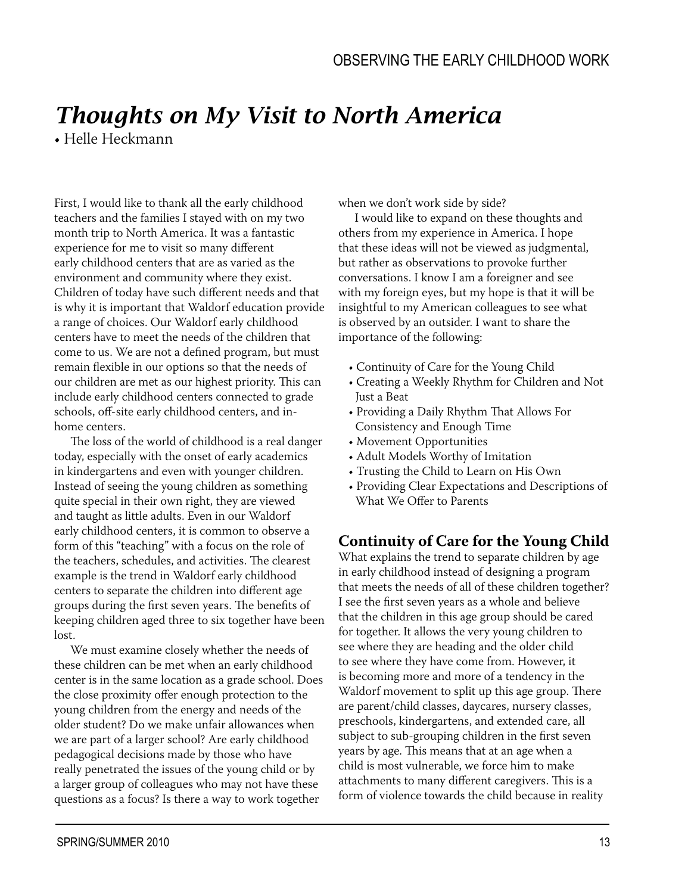# **Thoughts on My Visit to North America**

• Helle Heckmann

First, I would like to thank all the early childhood teachers and the families I stayed with on my two month trip to North America. It was a fantastic experience for me to visit so many different early childhood centers that are as varied as the environment and community where they exist. Children of today have such different needs and that is why it is important that Waldorf education provide a range of choices. Our Waldorf early childhood centers have to meet the needs of the children that come to us. We are not a defined program, but must remain flexible in our options so that the needs of our children are met as our highest priority. This can include early childhood centers connected to grade schools, off-site early childhood centers, and inhome centers.

The loss of the world of childhood is a real danger today, especially with the onset of early academics in kindergartens and even with younger children. Instead of seeing the young children as something quite special in their own right, they are viewed and taught as little adults. Even in our Waldorf early childhood centers, it is common to observe a form of this "teaching" with a focus on the role of the teachers, schedules, and activities. The clearest example is the trend in Waldorf early childhood centers to separate the children into different age groups during the first seven years. The benefits of keeping children aged three to six together have been lost.

We must examine closely whether the needs of these children can be met when an early childhood center is in the same location as a grade school. Does the close proximity offer enough protection to the young children from the energy and needs of the older student? Do we make unfair allowances when we are part of a larger school? Are early childhood pedagogical decisions made by those who have really penetrated the issues of the young child or by a larger group of colleagues who may not have these questions as a focus? Is there a way to work together

when we don't work side by side?

I would like to expand on these thoughts and others from my experience in America. I hope that these ideas will not be viewed as judgmental, but rather as observations to provoke further conversations. I know I am a foreigner and see with my foreign eyes, but my hope is that it will be insightful to my American colleagues to see what is observed by an outsider. I want to share the importance of the following:

- Continuity of Care for the Young Child
- Creating a Weekly Rhythm for Children and Not Just a Beat
- Providing a Daily Rhythm That Allows For Consistency and Enough Time
- Movement Opportunities
- Adult Models Worthy of Imitation
- Trusting the Child to Learn on His Own
- Providing Clear Expectations and Descriptions of What We Offer to Parents

#### **Continuity of Care for the Young Child**

What explains the trend to separate children by age in early childhood instead of designing a program that meets the needs of all of these children together? I see the first seven years as a whole and believe that the children in this age group should be cared for together. It allows the very young children to see where they are heading and the older child to see where they have come from. However, it is becoming more and more of a tendency in the Waldorf movement to split up this age group. There are parent/child classes, daycares, nursery classes, preschools, kindergartens, and extended care, all subject to sub-grouping children in the first seven years by age. This means that at an age when a child is most vulnerable, we force him to make attachments to many different caregivers. This is a form of violence towards the child because in reality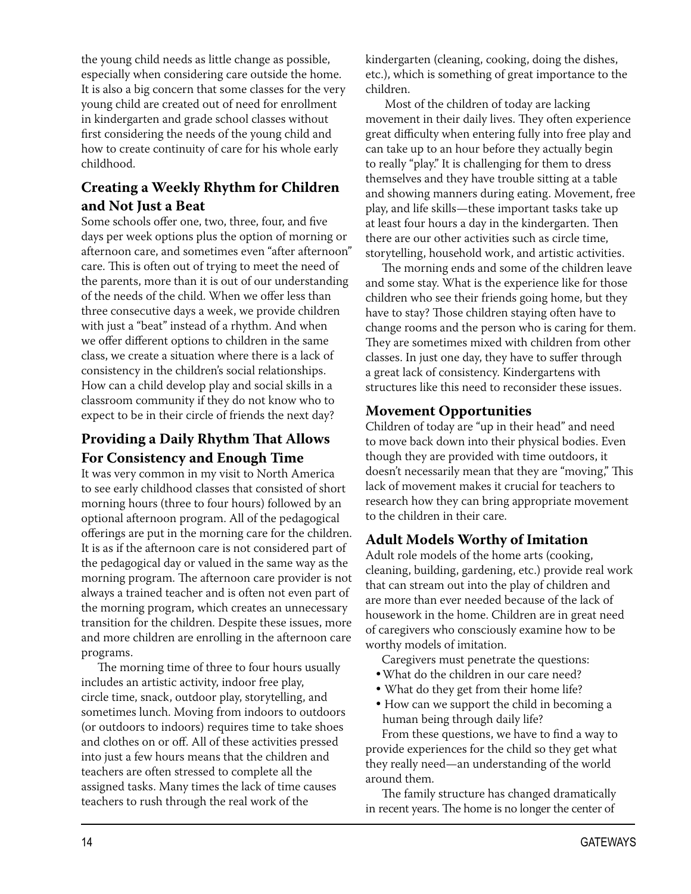the young child needs as little change as possible, especially when considering care outside the home. It is also a big concern that some classes for the very young child are created out of need for enrollment in kindergarten and grade school classes without first considering the needs of the young child and how to create continuity of care for his whole early childhood.

#### **Creating a Weekly Rhythm for Children** and Not Just a Beat

Some schools offer one, two, three, four, and five days per week options plus the option of morning or afternoon care, and sometimes even "after afternoon" care. This is often out of trying to meet the need of the parents, more than it is out of our understanding of the needs of the child. When we offer less than three consecutive days a week, we provide children with just a "beat" instead of a rhythm. And when we offer different options to children in the same class, we create a situation where there is a lack of consistency in the children's social relationships. How can a child develop play and social skills in a classroom community if they do not know who to expect to be in their circle of friends the next day?

#### **Providing a Daily Rhythm That Allows For Consistency and Enough Time**

It was very common in my visit to North America to see early childhood classes that consisted of short morning hours (three to four hours) followed by an optional afternoon program. All of the pedagogical offerings are put in the morning care for the children. It is as if the afternoon care is not considered part of the pedagogical day or valued in the same way as the morning program. The afternoon care provider is not always a trained teacher and is often not even part of the morning program, which creates an unnecessary transition for the children. Despite these issues, more and more children are enrolling in the afternoon care programs.

The morning time of three to four hours usually includes an artistic activity, indoor free play, circle time, snack, outdoor play, storytelling, and sometimes lunch. Moving from indoors to outdoors (or outdoors to indoors) requires time to take shoes and clothes on or off. All of these activities pressed into just a few hours means that the children and teachers are often stressed to complete all the assigned tasks. Many times the lack of time causes teachers to rush through the real work of the

kindergarten (cleaning, cooking, doing the dishes, etc.), which is something of great importance to the children.

Most of the children of today are lacking movement in their daily lives. They often experience great difficulty when entering fully into free play and can take up to an hour before they actually begin to really "play." It is challenging for them to dress themselves and they have trouble sitting at a table and showing manners during eating. Movement, free play, and life skills—these important tasks take up at least four hours a day in the kindergarten. Then there are our other activities such as circle time. storytelling, household work, and artistic activities.

The morning ends and some of the children leave and some stay. What is the experience like for those children who see their friends going home, but they have to stay? Those children staying often have to change rooms and the person who is caring for them. They are sometimes mixed with children from other classes. In just one day, they have to suffer through a great lack of consistency. Kindergartens with structures like this need to reconsider these issues.

#### **Movement Opportunities**

Children of today are "up in their head" and need to move back down into their physical bodies. Even though they are provided with time outdoors, it doesn't necessarily mean that they are "moving," This lack of movement makes it crucial for teachers to research how they can bring appropriate movement to the children in their care.

#### **Adult Models Worthy of Imitation**

Adult role models of the home arts (cooking, cleaning, building, gardening, etc.) provide real work that can stream out into the play of children and are more than ever needed because of the lack of housework in the home. Children are in great need of caregivers who consciously examine how to be worthy models of imitation.

Caregivers must penetrate the questions:

- What do the children in our care need?
- What do they get from their home life?
- How can we support the child in becoming a human being through daily life?

From these questions, we have to find a way to provide experiences for the child so they get what they really need-an understanding of the world around them.

The family structure has changed dramatically in recent years. The home is no longer the center of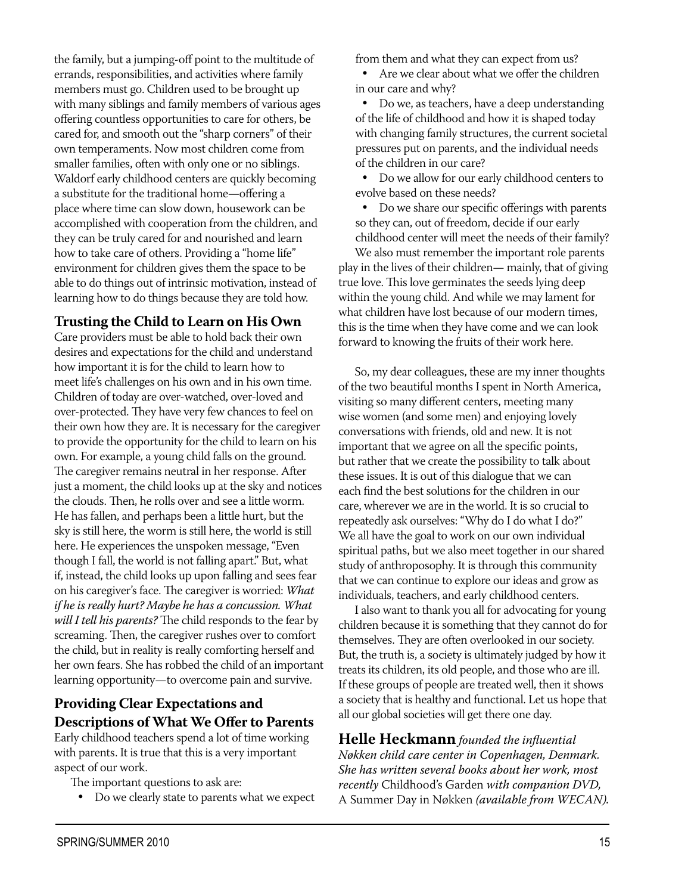errands, responsibilities, and activities where family members must go. Children used to be brought up with many siblings and family members of various ages offering countless opportunities to care for others, be cared for, and smooth out the "sharp corners" of their own temperaments. Now most children come from smaller families, often with only one or no siblings. Waldorf early childhood centers are quickly becoming a substitute for the traditional home—offering a place where time can slow down, housework can be accomplished with cooperation from the children, and they can be truly cared for and nourished and learn how to take care of others. Providing a "home life" environment for children gives them the space to be able to do things out of intrinsic motivation, instead of learning how to do things because they are told how. Trusting the Child to Learn on His Own Care providers must be able to hold back their own

the family, but a jumping-off point to the multitude of

desires and expectations for the child and understand how important it is for the child to learn how to meet life's challenges on his own and in his own time. Children of today are over-watched, over-loved and over-protected. They have very few chances to feel on their own how they are. It is necessary for the caregiver to provide the opportunity for the child to learn on his own. For example, a young child falls on the ground. The caregiver remains neutral in her response. After just a moment, the child looks up at the sky and notices the clouds. Then, he rolls over and see a little worm. He has fallen, and perhaps been a little hurt, but the sky is still here, the worm is still here, the world is still here. He experiences the unspoken message, "Even though I fall, the world is not falling apart." But, what if, instead, the child looks up upon falling and sees fear on his caregiver's face. The caregiver is worried: What if he is really hurt? Maybe he has a concussion. What will I tell his parents? The child responds to the fear by screaming. Then, the caregiver rushes over to comfort the child, but in reality is really comforting herself and her own fears. She has robbed the child of an important learning opportunity-to overcome pain and survive.

#### **Providing Clear Expectations and Descriptions of What We Offer to Parents**

Early childhood teachers spend a lot of time working with parents. It is true that this is a very important aspect of our work.

The important questions to ask are:

• Do we clearly state to parents what we expect

from them and what they can expect from us?

- Are we clear about what we offer the children in our care and why?
- Do we, as teachers, have a deep understanding of the life of childhood and how it is shaped today with changing family structures, the current societal pressures put on parents, and the individual needs of the children in our care?
- Do we allow for our early childhood centers to evolve based on these needs?

Do we share our specific offerings with parents  $\bullet$ so they can, out of freedom, decide if our early childhood center will meet the needs of their family?

We also must remember the important role parents play in the lives of their children— mainly, that of giving true love. This love germinates the seeds lying deep within the young child. And while we may lament for what children have lost because of our modern times, this is the time when they have come and we can look forward to knowing the fruits of their work here.

So, my dear colleagues, these are my inner thoughts of the two beautiful months I spent in North America, visiting so many different centers, meeting many wise women (and some men) and enjoying lovely conversations with friends, old and new. It is not important that we agree on all the specific points, but rather that we create the possibility to talk about these issues. It is out of this dialogue that we can each find the best solutions for the children in our care, wherever we are in the world. It is so crucial to repeatedly ask ourselves: "Why do I do what I do?" We all have the goal to work on our own individual spiritual paths, but we also meet together in our shared study of anthroposophy. It is through this community that we can continue to explore our ideas and grow as individuals, teachers, and early childhood centers.

I also want to thank you all for advocating for young children because it is something that they cannot do for themselves. They are often overlooked in our society. But, the truth is, a society is ultimately judged by how it treats its children, its old people, and those who are ill. If these groups of people are treated well, then it shows a society that is healthy and functional. Let us hope that all our global societies will get there one day.

**Helle Heckmann** founded the influential Nøkken child care center in Copenhagen, Denmark. She has written several books about her work, most recently Childhood's Garden with companion DVD, A Summer Day in Nøkken (available from WECAN).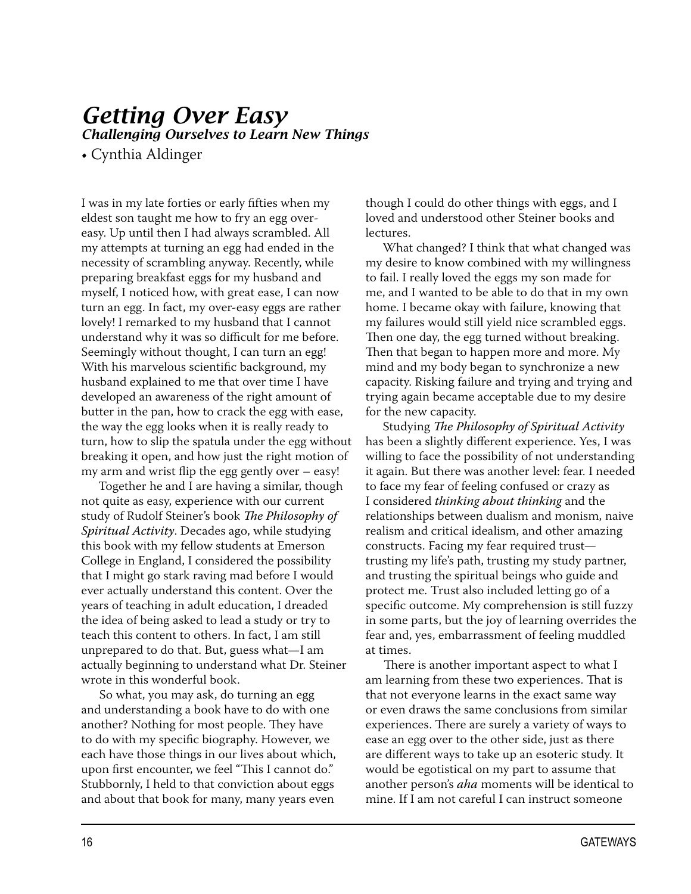# **Getting Over Easy**

Challenging Ourselves to Learn New Thinas

• Cynthia Aldinger

I was in my late forties or early fifties when my eldest son taught me how to fry an egg overeasy. Up until then I had always scrambled. All my attempts at turning an egg had ended in the necessity of scrambling anyway. Recently, while preparing breakfast eggs for my husband and myself, I noticed how, with great ease, I can now turn an egg. In fact, my over-easy eggs are rather lovely! I remarked to my husband that I cannot understand why it was so difficult for me before. Seemingly without thought, I can turn an egg! With his marvelous scientific background, my husband explained to me that over time I have developed an awareness of the right amount of butter in the pan, how to crack the egg with ease, the way the egg looks when it is really ready to turn, how to slip the spatula under the egg without breaking it open, and how just the right motion of my arm and wrist flip the egg gently over - easy!

Together he and I are having a similar, though not quite as easy, experience with our current study of Rudolf Steiner's book The Philosophy of Spiritual Activity. Decades ago, while studying this book with my fellow students at Emerson College in England, I considered the possibility that I might go stark raving mad before I would ever actually understand this content. Over the years of teaching in adult education, I dreaded the idea of being asked to lead a study or try to teach this content to others. In fact, I am still unprepared to do that. But, guess what-I am actually beginning to understand what Dr. Steiner wrote in this wonderful book.

So what, you may ask, do turning an egg and understanding a book have to do with one another? Nothing for most people. They have to do with my specific biography. However, we each have those things in our lives about which, upon first encounter, we feel "This I cannot do." Stubbornly, I held to that conviction about eggs and about that book for many, many years even

though I could do other things with eggs, and I loved and understood other Steiner books and lectures.

What changed? I think that what changed was my desire to know combined with my willingness to fail. I really loved the eggs my son made for me, and I wanted to be able to do that in my own home. I became okay with failure, knowing that my failures would still yield nice scrambled eggs. Then one day, the egg turned without breaking. Then that began to happen more and more. My mind and my body began to synchronize a new capacity. Risking failure and trying and trying and trying again became acceptable due to my desire for the new capacity.

Studying The Philosophy of Spiritual Activity has been a slightly different experience. Yes, I was willing to face the possibility of not understanding it again. But there was another level: fear. I needed to face my fear of feeling confused or crazy as I considered thinking about thinking and the relationships between dualism and monism, naive realism and critical idealism, and other amazing constructs. Facing my fear required trusttrusting my life's path, trusting my study partner, and trusting the spiritual beings who guide and protect me. Trust also included letting go of a specific outcome. My comprehension is still fuzzy in some parts, but the joy of learning overrides the fear and, yes, embarrassment of feeling muddled at times.

There is another important aspect to what I am learning from these two experiences. That is that not everyone learns in the exact same way or even draws the same conclusions from similar experiences. There are surely a variety of ways to ease an egg over to the other side, just as there are different ways to take up an esoteric study. It would be egotistical on my part to assume that another person's aha moments will be identical to mine. If I am not careful I can instruct someone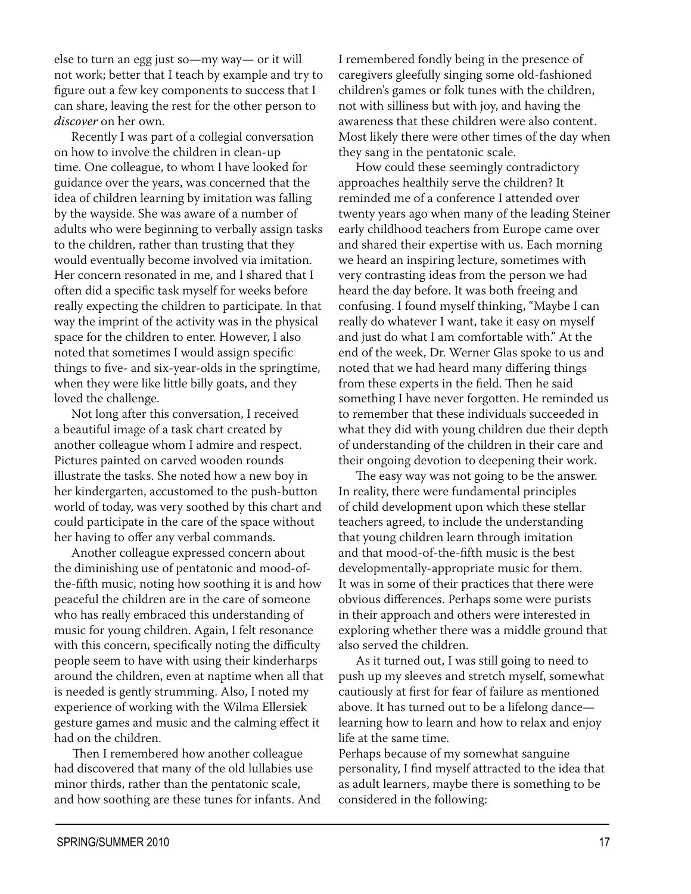else to turn an egg just so—my way— or it will not work; better that I teach by example and try to figure out a few key components to success that I can share, leaving the rest for the other person to *discover* on her own.

Recently I was part of a collegial conversation on how to involve the children in clean-up time. One colleague, to whom I have looked for guidance over the years, was concerned that the idea of children learning by imitation was falling by the wayside. She was aware of a number of adults who were beginning to verbally assign tasks to the children, rather than trusting that they would eventually become involved via imitation. Her concern resonated in me, and I shared that I often did a specific task myself for weeks before really expecting the children to participate. In that way the imprint of the activity was in the physical space for the children to enter. However, I also noted that sometimes I would assign specific things to five- and six-year-olds in the springtime, when they were like little billy goats, and they loved the challenge.

Not long after this conversation, I received a beautiful image of a task chart created by another colleague whom I admire and respect. Pictures painted on carved wooden rounds illustrate the tasks. She noted how a new boy in her kindergarten, accustomed to the push-button world of today, was very soothed by this chart and could participate in the care of the space without her having to offer any verbal commands.

Another colleague expressed concern about the diminishing use of pentatonic and mood-ofthe-fifth music, noting how soothing it is and how peaceful the children are in the care of someone who has really embraced this understanding of music for young children. Again, I felt resonance with this concern, specifically noting the difficulty people seem to have with using their kinderharps around the children, even at naptime when all that is needed is gently strumming. Also, I noted my experience of working with the Wilma Ellersiek gesture games and music and the calming effect it had on the children.

Then I remembered how another colleague had discovered that many of the old lullabies use minor thirds, rather than the pentatonic scale, and how soothing are these tunes for infants. And I remembered fondly being in the presence of caregivers gleefully singing some old-fashioned children's games or folk tunes with the children, not with silliness but with joy, and having the awareness that these children were also content. Most likely there were other times of the day when they sang in the pentatonic scale.

How could these seemingly contradictory approaches healthily serve the children? It reminded me of a conference I attended over twenty years ago when many of the leading Steiner early childhood teachers from Europe came over and shared their expertise with us. Each morning we heard an inspiring lecture, sometimes with very contrasting ideas from the person we had heard the day before. It was both freeing and confusing. I found myself thinking, "Maybe I can really do whatever I want, take it easy on myself and just do what I am comfortable with." At the end of the week, Dr. Werner Glas spoke to us and noted that we had heard many differing things from these experts in the field. Then he said something I have never forgotten. He reminded us to remember that these individuals succeeded in what they did with young children due their depth of understanding of the children in their care and their ongoing devotion to deepening their work.

The easy way was not going to be the answer. In reality, there were fundamental principles of child development upon which these stellar teachers agreed, to include the understanding that young children learn through imitation and that mood-of-the-fifth music is the best developmentally-appropriate music for them. It was in some of their practices that there were obvious differences. Perhaps some were purists in their approach and others were interested in exploring whether there was a middle ground that also served the children.

As it turned out, I was still going to need to push up my sleeves and stretch myself, somewhat cautiously at first for fear of failure as mentioned above. It has turned out to be a lifelong dancelearning how to learn and how to relax and enjoy life at the same time.

Perhaps because of my somewhat sanguine personality, I find myself attracted to the idea that as adult learners, maybe there is something to be considered in the following: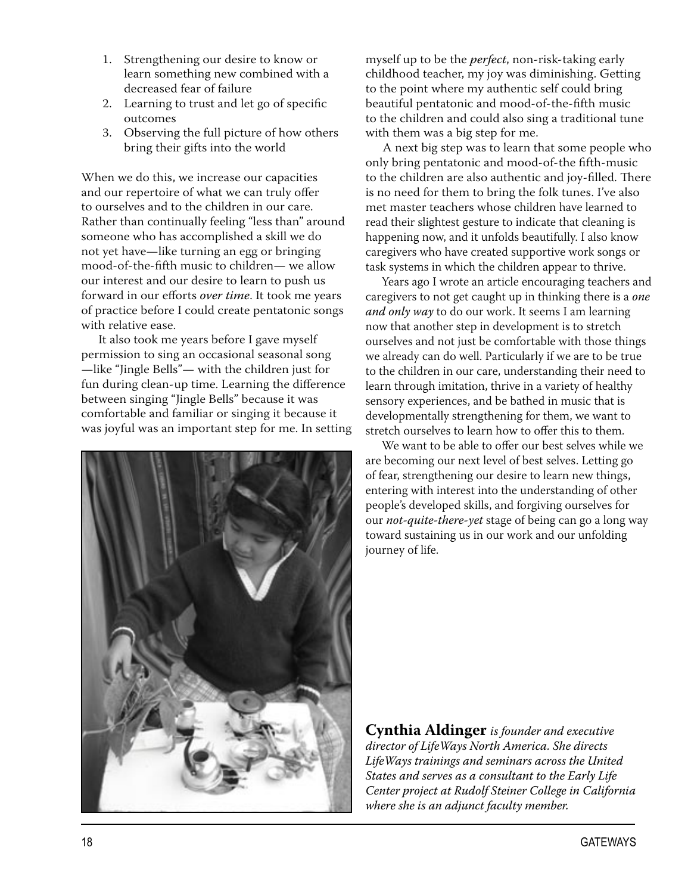- 1. Strengthening our desire to know or learn something new combined with a decreased fear of failure
- 2. Learning to trust and let go of specific outcomes
- 3. Observing the full picture of how others bring their gifts into the world

When we do this, we increase our capacities and our repertoire of what we can truly offer to ourselves and to the children in our care. Rather than continually feeling "less than" around someone who has accomplished a skill we do not yet have—like turning an egg or bringing mood-of-the-fifth music to children— we allow our interest and our desire to learn to push us forward in our efforts over time. It took me years of practice before I could create pentatonic songs with relative ease.

It also took me years before I gave myself permission to sing an occasional seasonal song -like "Jingle Bells"- with the children just for fun during clean-up time. Learning the difference between singing "Jingle Bells" because it was comfortable and familiar or singing it because it was joyful was an important step for me. In setting



myself up to be the *perfect*, non-risk-taking early childhood teacher, my joy was diminishing. Getting to the point where my authentic self could bring beautiful pentatonic and mood-of-the-fifth music to the children and could also sing a traditional tune with them was a big step for me.

A next big step was to learn that some people who only bring pentatonic and mood-of-the fifth-music to the children are also authentic and joy-filled. There is no need for them to bring the folk tunes. I've also met master teachers whose children have learned to read their slightest gesture to indicate that cleaning is happening now, and it unfolds beautifully. I also know caregivers who have created supportive work songs or task systems in which the children appear to thrive.

Years ago I wrote an article encouraging teachers and caregivers to not get caught up in thinking there is a one and only way to do our work. It seems I am learning now that another step in development is to stretch ourselves and not just be comfortable with those things we already can do well. Particularly if we are to be true to the children in our care, understanding their need to learn through imitation, thrive in a variety of healthy sensory experiences, and be bathed in music that is developmentally strengthening for them, we want to stretch ourselves to learn how to offer this to them.

We want to be able to offer our best selves while we are becoming our next level of best selves. Letting go of fear, strengthening our desire to learn new things, entering with interest into the understanding of other people's developed skills, and forgiving ourselves for our not-quite-there-yet stage of being can go a long way toward sustaining us in our work and our unfolding journey of life.

**Cynthia Aldinger** is founder and executive director of LifeWays North America. She directs LifeWays trainings and seminars across the United States and serves as a consultant to the Early Life Center project at Rudolf Steiner College in California where she is an adjunct faculty member.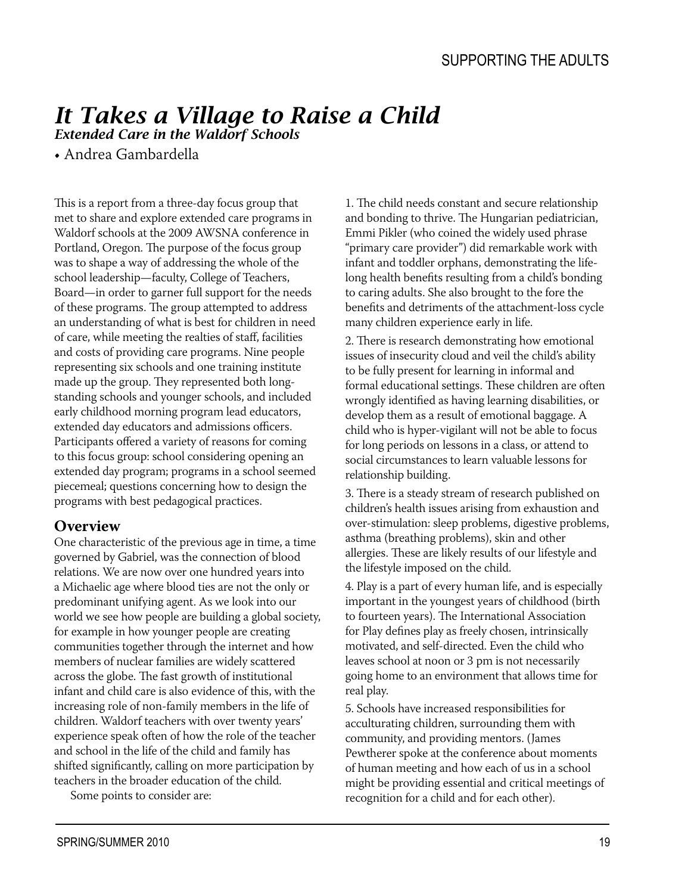# It Takes a Village to Raise a Child

**Extended Care in the Waldorf Schools** 

• Andrea Gambardella

This is a report from a three-day focus group that met to share and explore extended care programs in Waldorf schools at the 2009 AWSNA conference in Portland, Oregon. The purpose of the focus group was to shape a way of addressing the whole of the school leadership-faculty, College of Teachers, Board-in order to garner full support for the needs of these programs. The group attempted to address an understanding of what is best for children in need of care, while meeting the realties of staff, facilities and costs of providing care programs. Nine people representing six schools and one training institute made up the group. They represented both longstanding schools and younger schools, and included early childhood morning program lead educators, extended day educators and admissions officers. Participants offered a variety of reasons for coming to this focus group: school considering opening an extended day program; programs in a school seemed piecemeal; questions concerning how to design the programs with best pedagogical practices.

#### **Overview**

One characteristic of the previous age in time, a time governed by Gabriel, was the connection of blood relations. We are now over one hundred years into a Michaelic age where blood ties are not the only or predominant unifying agent. As we look into our world we see how people are building a global society, for example in how younger people are creating communities together through the internet and how members of nuclear families are widely scattered across the globe. The fast growth of institutional infant and child care is also evidence of this, with the increasing role of non-family members in the life of children. Waldorf teachers with over twenty years' experience speak often of how the role of the teacher and school in the life of the child and family has shifted significantly, calling on more participation by teachers in the broader education of the child.

Some points to consider are:

1. The child needs constant and secure relationship and bonding to thrive. The Hungarian pediatrician, Emmi Pikler (who coined the widely used phrase "primary care provider") did remarkable work with infant and toddler orphans, demonstrating the lifelong health benefits resulting from a child's bonding to caring adults. She also brought to the fore the benefits and detriments of the attachment-loss cycle many children experience early in life.

2. There is research demonstrating how emotional issues of insecurity cloud and veil the child's ability to be fully present for learning in informal and formal educational settings. These children are often wrongly identified as having learning disabilities, or develop them as a result of emotional baggage. A child who is hyper-vigilant will not be able to focus for long periods on lessons in a class, or attend to social circumstances to learn valuable lessons for relationship building.

3. There is a steady stream of research published on children's health issues arising from exhaustion and over-stimulation: sleep problems, digestive problems, asthma (breathing problems), skin and other allergies. These are likely results of our lifestyle and the lifestyle imposed on the child.

4. Play is a part of every human life, and is especially important in the youngest years of childhood (birth to fourteen years). The International Association for Play defines play as freely chosen, intrinsically motivated, and self-directed. Even the child who leaves school at noon or 3 pm is not necessarily going home to an environment that allows time for real play.

5. Schools have increased responsibilities for acculturating children, surrounding them with community, and providing mentors. (James Pewtherer spoke at the conference about moments of human meeting and how each of us in a school might be providing essential and critical meetings of recognition for a child and for each other).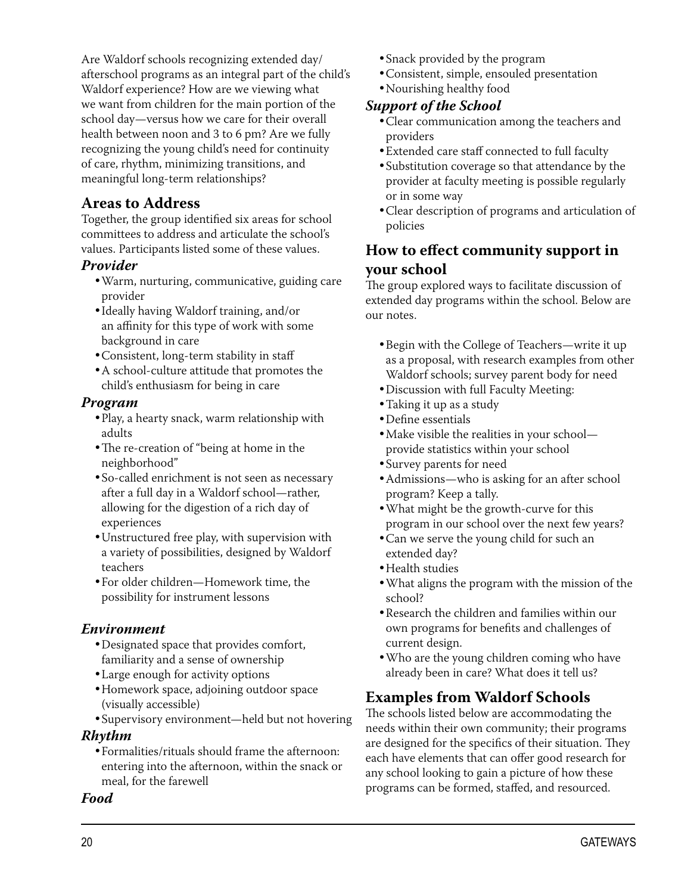Are Waldorf schools recognizing extended day/ afterschool programs as an integral part of the child's Waldorf experience? How are we viewing what we want from children for the main portion of the school day-versus how we care for their overall health between noon and 3 to 6 pm? Are we fully recognizing the young child's need for continuity of care, rhythm, minimizing transitions, and meaningful long-term relationships?

#### **Areas to Address**

Together, the group identified six areas for school committees to address and articulate the school's values. Participants listed some of these values.

#### Provider

- · Warm, nurturing, communicative, guiding care provider
- Ideally having Waldorf training, and/or an affinity for this type of work with some background in care
- · Consistent, long-term stability in staff
- A school-culture attitude that promotes the child's enthusiasm for being in care

#### Program

- . Play, a hearty snack, warm relationship with adults
- The re-creation of "being at home in the neighborhood"
- So-called enrichment is not seen as necessary after a full day in a Waldorf school-rather, allowing for the digestion of a rich day of experiences
- · Unstructured free play, with supervision with a variety of possibilities, designed by Waldorf teachers
- For older children-Homework time, the possibility for instrument lessons

#### **Environment**

- Designated space that provides comfort, familiarity and a sense of ownership
- Large enough for activity options
- Homework space, adjoining outdoor space (visually accessible)
- Supervisory environment-held but not hovering

#### Rhythm

• Formalities/rituals should frame the afternoon: entering into the afternoon, within the snack or meal, for the farewell

#### **Food**

- Snack provided by the program
- · Consistent, simple, ensouled presentation
- Nourishing healthy food

#### **Support of the School**

- Clear communication among the teachers and providers
- Extended care staff connected to full faculty
- Substitution coverage so that attendance by the provider at faculty meeting is possible regularly or in some way
- Clear description of programs and articulation of policies

#### How to effect community support in your school

The group explored ways to facilitate discussion of extended day programs within the school. Below are our notes.

- Begin with the College of Teachers—write it up as a proposal, with research examples from other Waldorf schools; survey parent body for need
- · Discussion with full Faculty Meeting:
- Taking it up as a study
- Define essentials
- Make visible the realities in your schoolprovide statistics within your school
- Survey parents for need
- Admissions—who is asking for an after school program? Keep a tally.
- . What might be the growth-curve for this program in our school over the next few years?
- Can we serve the young child for such an extended day?
- Health studies
- . What aligns the program with the mission of the school?
- Research the children and families within our own programs for benefits and challenges of current design.
- . Who are the young children coming who have already been in care? What does it tell us?

#### **Examples from Waldorf Schools**

The schools listed below are accommodating the needs within their own community; their programs are designed for the specifics of their situation. They each have elements that can offer good research for any school looking to gain a picture of how these programs can be formed, staffed, and resourced.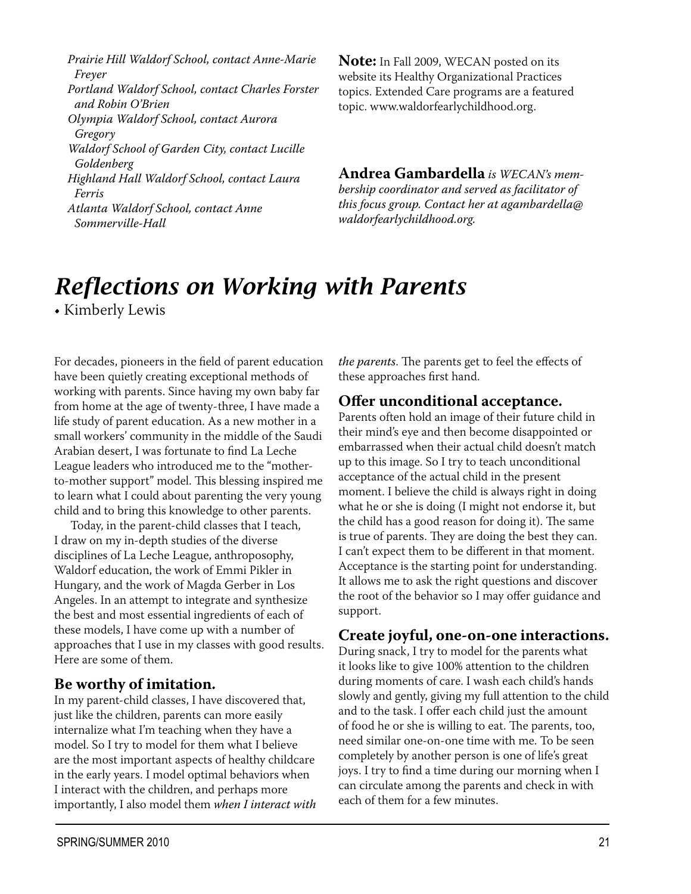Prairie Hill Waldorf School, contact Anne-Marie Frever

Portland Waldorf School, contact Charles Forster and Robin O'Brien

Olympia Waldorf School, contact Aurora Gregory

Waldorf School of Garden City, contact Lucille Goldenberg

Highland Hall Waldorf School, contact Laura Ferris

Atlanta Waldorf School, contact Anne Sommerville-Hall

**Note:** In Fall 2009, WECAN posted on its website its Healthy Organizational Practices topics. Extended Care programs are a featured topic. www.waldorfearlychildhood.org.

**Andrea Gambardella** is WECAN's membership coordinator and served as facilitator of this focus group. Contact her at agambardella@ waldorfearlychildhood.org.

# **Reflections on Working with Parents**

• Kimberly Lewis

For decades, pioneers in the field of parent education have been quietly creating exceptional methods of working with parents. Since having my own baby far from home at the age of twenty-three, I have made a life study of parent education. As a new mother in a small workers' community in the middle of the Saudi Arabian desert. I was fortunate to find La Leche League leaders who introduced me to the "motherto-mother support" model. This blessing inspired me to learn what I could about parenting the very young child and to bring this knowledge to other parents.

Today, in the parent-child classes that I teach, I draw on my in-depth studies of the diverse disciplines of La Leche League, anthroposophy, Waldorf education, the work of Emmi Pikler in Hungary, and the work of Magda Gerber in Los Angeles. In an attempt to integrate and synthesize the best and most essential ingredients of each of these models, I have come up with a number of approaches that I use in my classes with good results. Here are some of them.

#### Be worthy of imitation.

In my parent-child classes, I have discovered that, just like the children, parents can more easily internalize what I'm teaching when they have a model. So I try to model for them what I believe are the most important aspects of healthy childcare in the early years. I model optimal behaviors when I interact with the children, and perhaps more importantly, I also model them when I interact with the parents. The parents get to feel the effects of these approaches first hand.

#### Offer unconditional acceptance.

Parents often hold an image of their future child in their mind's eye and then become disappointed or embarrassed when their actual child doesn't match up to this image. So I try to teach unconditional acceptance of the actual child in the present moment. I believe the child is always right in doing what he or she is doing (I might not endorse it, but the child has a good reason for doing it). The same is true of parents. They are doing the best they can. I can't expect them to be different in that moment. Acceptance is the starting point for understanding. It allows me to ask the right questions and discover the root of the behavior so I may offer guidance and support.

#### Create joyful, one-on-one interactions.

During snack, I try to model for the parents what it looks like to give 100% attention to the children during moments of care. I wash each child's hands slowly and gently, giving my full attention to the child and to the task. I offer each child just the amount of food he or she is willing to eat. The parents, too, need similar one-on-one time with me. To be seen completely by another person is one of life's great joys. I try to find a time during our morning when I can circulate among the parents and check in with each of them for a few minutes.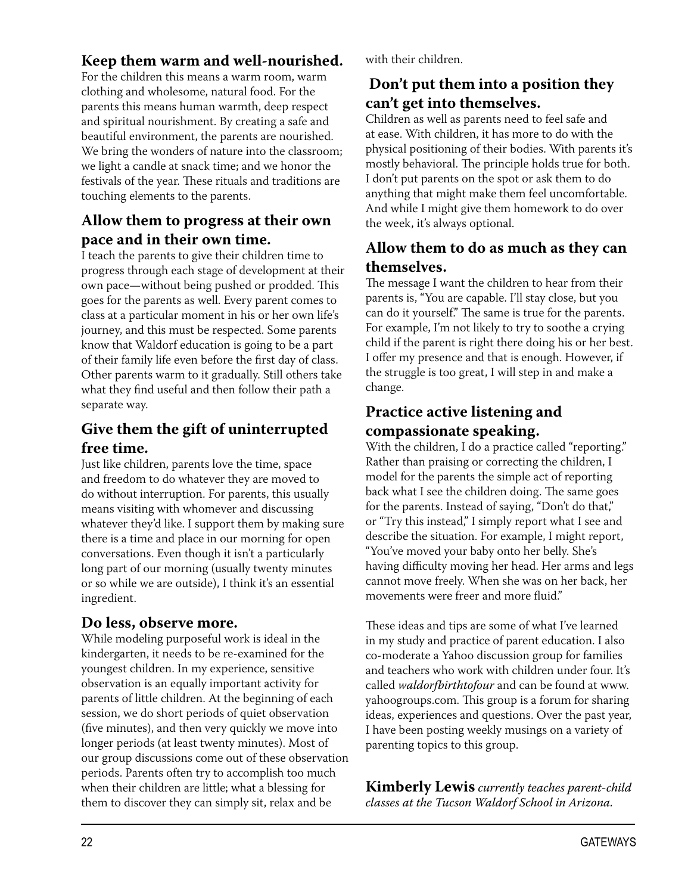#### Keep them warm and well-nourished.

For the children this means a warm room, warm clothing and wholesome, natural food. For the parents this means human warmth, deep respect and spiritual nourishment. By creating a safe and beautiful environment, the parents are nourished. We bring the wonders of nature into the classroom; we light a candle at snack time; and we honor the festivals of the year. These rituals and traditions are touching elements to the parents.

#### Allow them to progress at their own pace and in their own time.

I teach the parents to give their children time to progress through each stage of development at their own pace-without being pushed or prodded. This goes for the parents as well. Every parent comes to class at a particular moment in his or her own life's journey, and this must be respected. Some parents know that Waldorf education is going to be a part of their family life even before the first day of class. Other parents warm to it gradually. Still others take what they find useful and then follow their path a separate way.

#### Give them the gift of uninterrupted free time.

Just like children, parents love the time, space and freedom to do whatever they are moved to do without interruption. For parents, this usually means visiting with whomever and discussing whatever they'd like. I support them by making sure there is a time and place in our morning for open conversations. Even though it isn't a particularly long part of our morning (usually twenty minutes or so while we are outside), I think it's an essential ingredient.

#### Do less, observe more.

While modeling purposeful work is ideal in the kindergarten, it needs to be re-examined for the youngest children. In my experience, sensitive observation is an equally important activity for parents of little children. At the beginning of each session, we do short periods of quiet observation (five minutes), and then very quickly we move into longer periods (at least twenty minutes). Most of our group discussions come out of these observation periods. Parents often try to accomplish too much when their children are little; what a blessing for them to discover they can simply sit, relax and be

with their children.

#### Don't put them into a position they can't get into themselves.

Children as well as parents need to feel safe and at ease. With children, it has more to do with the physical positioning of their bodies. With parents it's mostly behavioral. The principle holds true for both. I don't put parents on the spot or ask them to do anything that might make them feel uncomfortable. And while I might give them homework to do over the week, it's always optional.

#### Allow them to do as much as they can themselves.

The message I want the children to hear from their parents is, "You are capable. I'll stay close, but you can do it yourself." The same is true for the parents. For example, I'm not likely to try to soothe a crying child if the parent is right there doing his or her best. I offer my presence and that is enough. However, if the struggle is too great, I will step in and make a change.

#### Practice active listening and compassionate speaking.

With the children, I do a practice called "reporting." Rather than praising or correcting the children, I model for the parents the simple act of reporting back what I see the children doing. The same goes for the parents. Instead of saying, "Don't do that," or "Try this instead," I simply report what I see and describe the situation. For example, I might report, "You've moved your baby onto her belly. She's having difficulty moving her head. Her arms and legs cannot move freely. When she was on her back, her movements were freer and more fluid."

These ideas and tips are some of what I've learned in my study and practice of parent education. I also co-moderate a Yahoo discussion group for families and teachers who work with children under four. It's called waldorfbirthtofour and can be found at www. yahoogroups.com. This group is a forum for sharing ideas, experiences and questions. Over the past year, I have been posting weekly musings on a variety of parenting topics to this group.

**Kimberly Lewis** currently teaches parent-child classes at the Tucson Waldorf School in Arizona.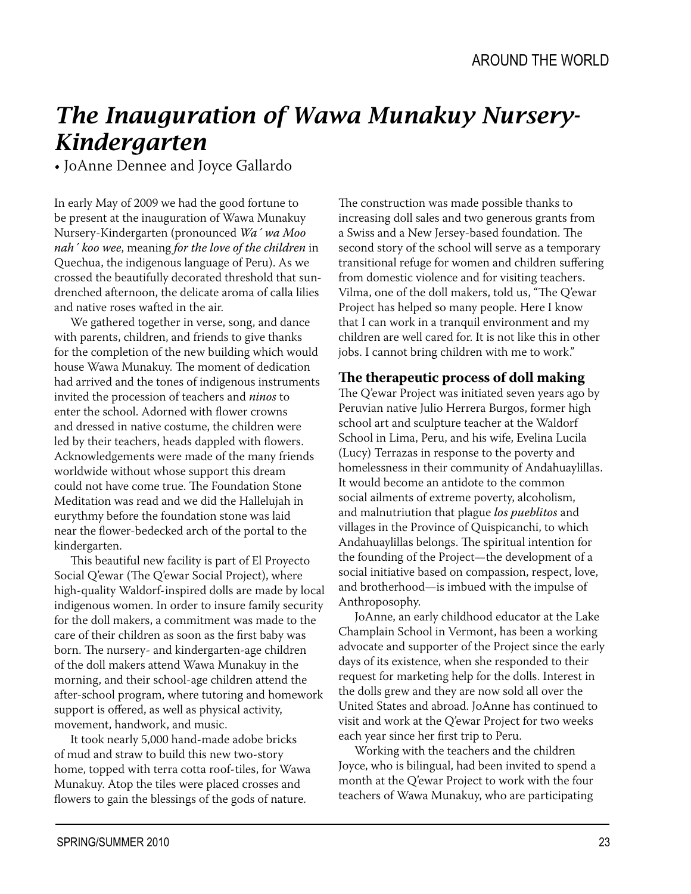# The Inauguration of Wawa Munakuy Nursery-**Kindergarten**

• JoAnne Dennee and Joyce Gallardo

In early May of 2009 we had the good fortune to be present at the inauguration of Wawa Munakuy Nursery-Kindergarten (pronounced Wa' wa Moo nah' koo wee, meaning for the love of the children in Quechua, the indigenous language of Peru). As we crossed the beautifully decorated threshold that sundrenched afternoon, the delicate aroma of calla lilies and native roses wafted in the air.

We gathered together in verse, song, and dance with parents, children, and friends to give thanks for the completion of the new building which would house Wawa Munakuy. The moment of dedication had arrived and the tones of indigenous instruments invited the procession of teachers and *ninos* to enter the school. Adorned with flower crowns and dressed in native costume, the children were led by their teachers, heads dappled with flowers. Acknowledgements were made of the many friends worldwide without whose support this dream could not have come true. The Foundation Stone Meditation was read and we did the Halleluiah in eurythmy before the foundation stone was laid near the flower-bedecked arch of the portal to the kindergarten.

This beautiful new facility is part of El Proyecto Social Q'ewar (The Q'ewar Social Project), where high-quality Waldorf-inspired dolls are made by local indigenous women. In order to insure family security for the doll makers. a commitment was made to the care of their children as soon as the first baby was born. The nursery- and kindergarten-age children of the doll makers attend Wawa Munakuy in the morning, and their school-age children attend the after-school program, where tutoring and homework support is offered, as well as physical activity, movement, handwork, and music.

It took nearly 5,000 hand-made adobe bricks of mud and straw to build this new two-story home, topped with terra cotta roof-tiles, for Wawa Munakuy. Atop the tiles were placed crosses and flowers to gain the blessings of the gods of nature.

The construction was made possible thanks to increasing doll sales and two generous grants from a Swiss and a New Jersey-based foundation. The second story of the school will serve as a temporary transitional refuge for women and children suffering from domestic violence and for visiting teachers. Vilma, one of the doll makers, told us, "The Q'ewar Project has helped so many people. Here I know that I can work in a tranquil environment and my children are well cared for. It is not like this in other jobs. I cannot bring children with me to work."

#### The therapeutic process of doll making

The Q'ewar Project was initiated seven years ago by Peruvian native Julio Herrera Burgos, former high school art and sculpture teacher at the Waldorf School in Lima, Peru, and his wife, Evelina Lucila (Lucy) Terrazas in response to the poverty and homelessness in their community of Andahuaylillas. It would become an antidote to the common social ailments of extreme poverty, alcoholism, and malnutriution that plague los pueblitos and villages in the Province of Quispicanchi, to which Andahuaylillas belongs. The spiritual intention for the founding of the Project-the development of a social initiative based on compassion, respect, love, and brotherhood-is imbued with the impulse of Anthroposophy.

JoAnne, an early childhood educator at the Lake Champlain School in Vermont, has been a working advocate and supporter of the Project since the early days of its existence, when she responded to their request for marketing help for the dolls. Interest in the dolls grew and they are now sold all over the United States and abroad. JoAnne has continued to visit and work at the Q'ewar Project for two weeks each year since her first trip to Peru.

Working with the teachers and the children Joyce, who is bilingual, had been invited to spend a month at the Q'ewar Project to work with the four teachers of Wawa Munakuy, who are participating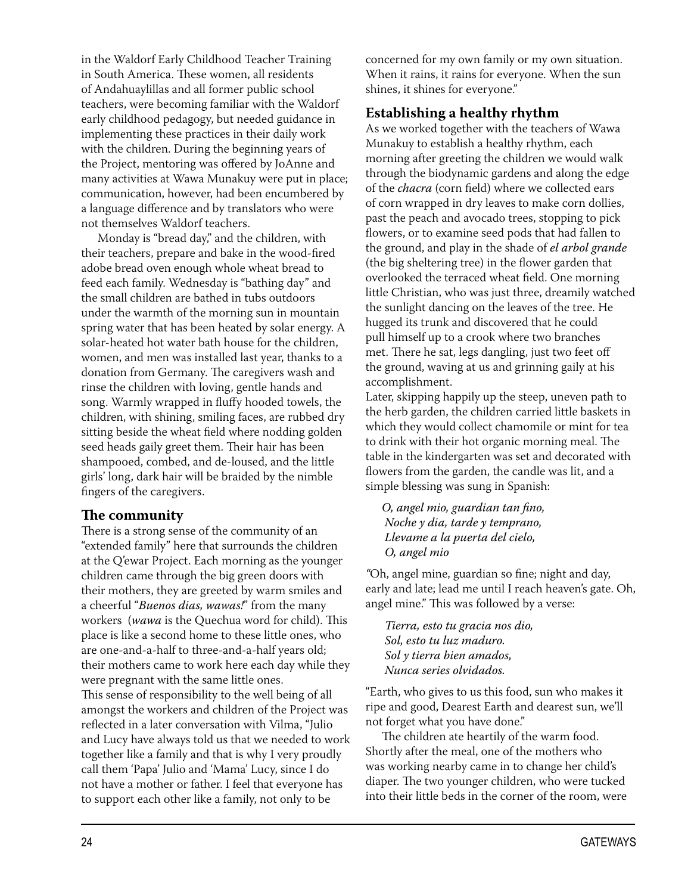in the Waldorf Early Childhood Teacher Training in South America. These women, all residents of Andahuaylillas and all former public school teachers, were becoming familiar with the Waldorf early childhood pedagogy, but needed guidance in implementing these practices in their daily work with the children. During the beginning years of the Project, mentoring was offered by JoAnne and many activities at Wawa Munakuy were put in place; communication, however, had been encumbered by a language difference and by translators who were not themselves Waldorf teachers.

Monday is "bread day," and the children, with their teachers, prepare and bake in the wood-fired adobe bread oven enough whole wheat bread to feed each family. Wednesday is "bathing day" and the small children are bathed in tubs outdoors under the warmth of the morning sun in mountain spring water that has been heated by solar energy. A solar-heated hot water bath house for the children, women, and men was installed last year, thanks to a donation from Germany. The caregivers wash and rinse the children with loving, gentle hands and song. Warmly wrapped in fluffy hooded towels, the children, with shining, smiling faces, are rubbed dry sitting beside the wheat field where nodding golden seed heads gaily greet them. Their hair has been shampooed, combed, and de-loused, and the little girls' long, dark hair will be braided by the nimble fingers of the caregivers.

#### The community

There is a strong sense of the community of an "extended family" here that surrounds the children at the Q'ewar Project. Each morning as the younger children came through the big green doors with their mothers, they are greeted by warm smiles and a cheerful "Buenos dias, wawas!" from the many workers (wawa is the Quechua word for child). This place is like a second home to these little ones, who are one-and-a-half to three-and-a-half years old; their mothers came to work here each day while they were pregnant with the same little ones. This sense of responsibility to the well being of all amongst the workers and children of the Project was reflected in a later conversation with Vilma, "Julio and Lucy have always told us that we needed to work together like a family and that is why I very proudly call them 'Papa' Julio and 'Mama' Lucy, since I do not have a mother or father. I feel that everyone has to support each other like a family, not only to be

concerned for my own family or my own situation. When it rains, it rains for everyone. When the sun shines, it shines for everyone."

#### Establishing a healthy rhythm

As we worked together with the teachers of Wawa Munakuy to establish a healthy rhythm, each morning after greeting the children we would walk through the biodynamic gardens and along the edge of the *chacra* (corn field) where we collected ears of corn wrapped in dry leaves to make corn dollies, past the peach and avocado trees, stopping to pick flowers, or to examine seed pods that had fallen to the ground, and play in the shade of el arbol grande (the big sheltering tree) in the flower garden that overlooked the terraced wheat field. One morning little Christian, who was just three, dreamily watched the sunlight dancing on the leaves of the tree. He hugged its trunk and discovered that he could pull himself up to a crook where two branches met. There he sat, legs dangling, just two feet off the ground, waving at us and grinning gaily at his accomplishment.

Later, skipping happily up the steep, uneven path to the herb garden, the children carried little baskets in which they would collect chamomile or mint for tea to drink with their hot organic morning meal. The table in the kindergarten was set and decorated with flowers from the garden, the candle was lit, and a simple blessing was sung in Spanish:

O, angel mio, guardian tan fino, Noche y dia, tarde y temprano, Llevame a la puerta del cielo, O, angel mio

"Oh, angel mine, guardian so fine; night and day, early and late; lead me until I reach heaven's gate. Oh, angel mine." This was followed by a verse:

Tierra, esto tu gracia nos dio, Sol, esto tu luz maduro. Sol y tierra bien amados, Nunca series olvidados.

"Earth, who gives to us this food, sun who makes it ripe and good, Dearest Earth and dearest sun, we'll not forget what you have done."

The children ate heartily of the warm food. Shortly after the meal, one of the mothers who was working nearby came in to change her child's diaper. The two younger children, who were tucked into their little beds in the corner of the room, were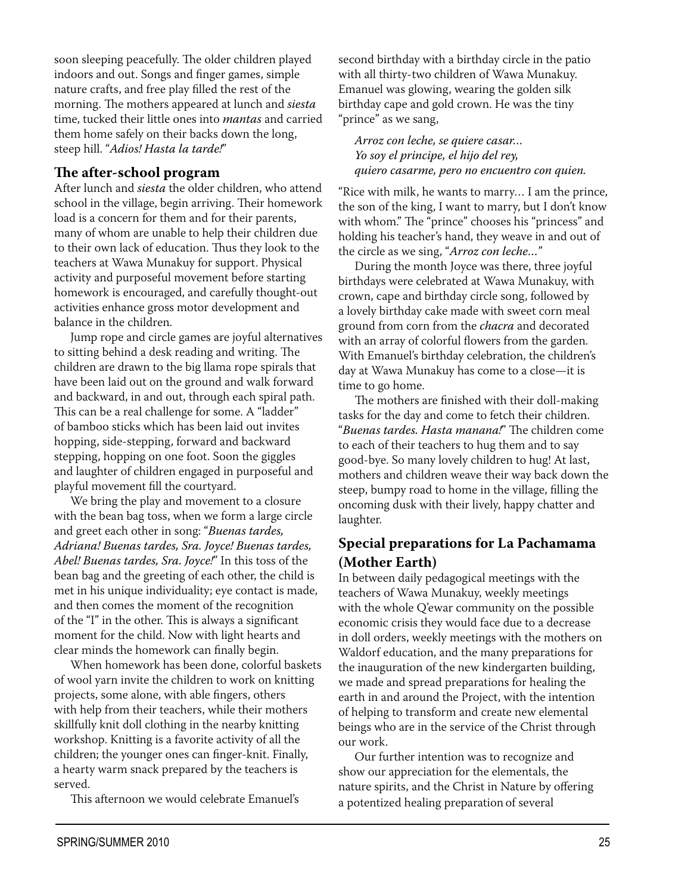soon sleeping peacefully. The older children played indoors and out. Songs and finger games, simple nature crafts, and free play filled the rest of the morning. The mothers appeared at lunch and *siesta* time, tucked their little ones into *mantas* and carried them home safely on their backs down the long, steep hill. "Adios! Hasta la tarde!"

#### The after-school program

After lunch and *siesta* the older children, who attend school in the village, begin arriving. Their homework load is a concern for them and for their parents, many of whom are unable to help their children due to their own lack of education. Thus they look to the teachers at Wawa Munakuy for support. Physical activity and purposeful movement before starting homework is encouraged, and carefully thought-out activities enhance gross motor development and balance in the children.

Jump rope and circle games are joyful alternatives to sitting behind a desk reading and writing. The children are drawn to the big llama rope spirals that have been laid out on the ground and walk forward and backward, in and out, through each spiral path. This can be a real challenge for some. A "ladder" of bamboo sticks which has been laid out invites hopping, side-stepping, forward and backward stepping, hopping on one foot. Soon the giggles and laughter of children engaged in purposeful and playful movement fill the courtvard.

We bring the play and movement to a closure with the bean bag toss, when we form a large circle and greet each other in song: "Buenas tardes, Adriana! Buenas tardes, Sra. Joyce! Buenas tardes, Abel! Buenas tardes, Sra. Joyce!" In this toss of the bean bag and the greeting of each other, the child is met in his unique individuality; eye contact is made, and then comes the moment of the recognition of the "I" in the other. This is always a significant moment for the child. Now with light hearts and clear minds the homework can finally begin.

When homework has been done, colorful baskets of wool yarn invite the children to work on knitting projects, some alone, with able fingers, others with help from their teachers, while their mothers skillfully knit doll clothing in the nearby knitting workshop. Knitting is a favorite activity of all the children; the younger ones can finger-knit. Finally, a hearty warm snack prepared by the teachers is served.

This afternoon we would celebrate Emanuel's

second birthday with a birthday circle in the patio with all thirty-two children of Wawa Munakuy. Emanuel was glowing, wearing the golden silk birthday cape and gold crown. He was the tiny "prince" as we sang,

Arroz con leche, se quiere casar... Yo soy el principe, el hijo del rey, quiero casarme, pero no encuentro con quien.

"Rice with milk, he wants to marry... I am the prince, the son of the king, I want to marry, but I don't know with whom." The "prince" chooses his "princess" and holding his teacher's hand, they weave in and out of the circle as we sing, "Arroz con leche..."

During the month Joyce was there, three joyful birthdays were celebrated at Wawa Munakuy, with crown, cape and birthday circle song, followed by a lovely birthday cake made with sweet corn meal ground from corn from the *chacra* and decorated with an array of colorful flowers from the garden. With Emanuel's birthday celebration, the children's day at Wawa Munakuy has come to a close-it is time to go home.

The mothers are finished with their doll-making tasks for the day and come to fetch their children. "Buenas tardes. Hasta manana!" The children come to each of their teachers to hug them and to say good-bye. So many lovely children to hug! At last, mothers and children weave their way back down the steep, bumpy road to home in the village, filling the oncoming dusk with their lively, happy chatter and laughter.

#### **Special preparations for La Pachamama** (Mother Earth)

In between daily pedagogical meetings with the teachers of Wawa Munakuy, weekly meetings with the whole Q'ewar community on the possible economic crisis they would face due to a decrease in doll orders, weekly meetings with the mothers on Waldorf education, and the many preparations for the inauguration of the new kindergarten building, we made and spread preparations for healing the earth in and around the Project, with the intention of helping to transform and create new elemental beings who are in the service of the Christ through our work.

Our further intention was to recognize and show our appreciation for the elementals, the nature spirits, and the Christ in Nature by offering a potentized healing preparation of several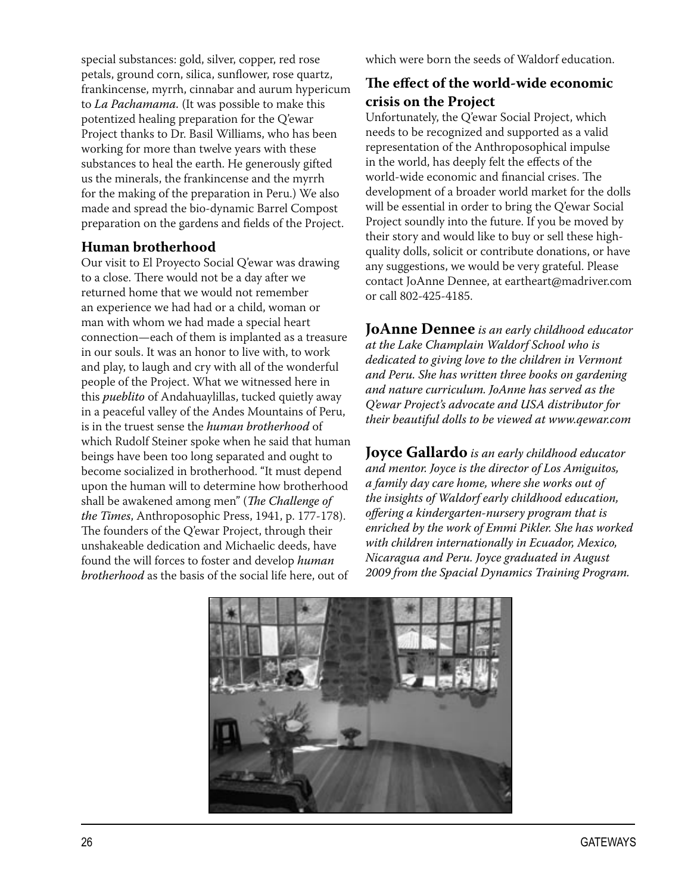special substances: gold, silver, copper, red rose petals, ground corn, silica, sunflower, rose quartz, frankincense, myrrh, cinnabar and aurum hypericum to La Pachamama. (It was possible to make this potentized healing preparation for the Q'ewar Project thanks to Dr. Basil Williams, who has been working for more than twelve years with these substances to heal the earth. He generously gifted us the minerals, the frankincense and the myrrh for the making of the preparation in Peru.) We also made and spread the bio-dynamic Barrel Compost preparation on the gardens and fields of the Project.

#### **Human brotherhood**

Our visit to El Proyecto Social Q'ewar was drawing to a close. There would not be a day after we returned home that we would not remember an experience we had had or a child, woman or man with whom we had made a special heart connection—each of them is implanted as a treasure in our souls. It was an honor to live with, to work and play, to laugh and cry with all of the wonderful people of the Project. What we witnessed here in this *pueblito* of Andahuaylillas, tucked quietly away in a peaceful valley of the Andes Mountains of Peru, is in the truest sense the human brotherhood of which Rudolf Steiner spoke when he said that human beings have been too long separated and ought to become socialized in brotherhood. "It must depend upon the human will to determine how brotherhood shall be awakened among men" (The Challenge of the Times, Anthroposophic Press, 1941, p. 177-178). The founders of the Q'ewar Project, through their unshakeable dedication and Michaelic deeds, have found the will forces to foster and develop human brotherhood as the basis of the social life here, out of

which were born the seeds of Waldorf education.

#### The effect of the world-wide economic crisis on the Project

Unfortunately, the Q'ewar Social Project, which needs to be recognized and supported as a valid representation of the Anthroposophical impulse in the world, has deeply felt the effects of the world-wide economic and financial crises. The development of a broader world market for the dolls will be essential in order to bring the Q'ewar Social Project soundly into the future. If you be moved by their story and would like to buy or sell these highquality dolls, solicit or contribute donations, or have any suggestions, we would be very grateful. Please contact JoAnne Dennee, at eartheart@madriver.com or call 802-425-4185.

**JoAnne Dennee** is an early childhood educator at the Lake Champlain Waldorf School who is dedicated to giving love to the children in Vermont and Peru. She has written three books on gardening and nature curriculum. JoAnne has served as the O'ewar Project's advocate and USA distributor for their beautiful dolls to be viewed at www.qewar.com

**Joyce Gallardo** is an early childhood educator and mentor. Joyce is the director of Los Amiguitos, a family day care home, where she works out of the insights of Waldorf early childhood education, offering a kindergarten-nursery program that is enriched by the work of Emmi Pikler. She has worked with children internationally in Ecuador, Mexico, Nicaragua and Peru. Joyce graduated in August 2009 from the Spacial Dynamics Training Program.

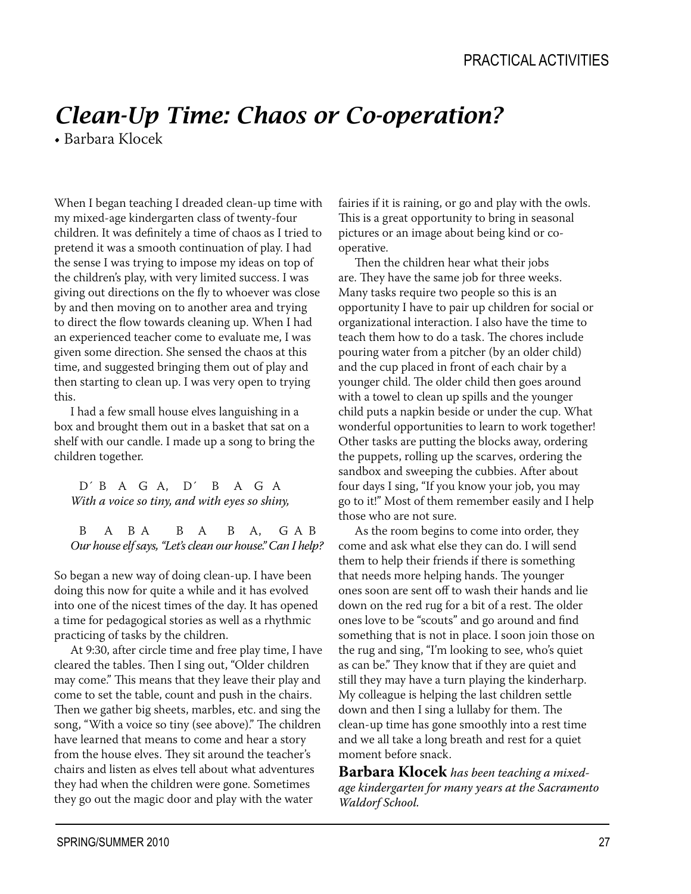# *Clean-Up Time: Chaos or Co-operation?*

 $\bullet$  Barbara Klocek

When I began teaching I dreaded clean-up time with my mixed-age kindergarten class of twenty-four children. It was definitely a time of chaos as I tried to pretend it was a smooth continuation of play. I had the sense I was trying to impose my ideas on top of the children's play, with very limited success. I was giving out directions on the fly to whoever was close by and then moving on to another area and trying to direct the flow towards cleaning up. When I had an experienced teacher come to evaluate me, I was given some direction. She sensed the chaos at this time, and suggested bringing them out of play and then starting to clean up. I was very open to trying this.

I had a few small house elves languishing in a box and brought them out in a basket that sat on a shelf with our candle. I made up a song to bring the children together.

 $D' B A G A. D' B A G A$ With a voice so tiny, and with eyes so shiny,

 $B$   $A$   $B$   $A$   $B$   $A$   $C$   $A$   $B$ Our house elf says, "Let's clean our house." Can I help?

So began a new way of doing clean-up. I have been doing this now for quite a while and it has evolved into one of the nicest times of the day. It has opened a time for pedagogical stories as well as a rhythmic practicing of tasks by the children.

At 9:30, after circle time and free play time, I have cleared the tables. Then I sing out, "Older children may come." This means that they leave their play and come to set the table, count and push in the chairs. Then we gather big sheets, marbles, etc. and sing the song, "With a voice so tiny (see above)." The children have learned that means to come and hear a story from the house elves. They sit around the teacher's chairs and listen as elves tell about what adventures they had when the children were gone. Sometimes they go out the magic door and play with the water

fairies if it is raining, or go and play with the owls. This is a great opportunity to bring in seasonal pictures or an image about being kind or cooperative.

Then the children hear what their jobs are. They have the same job for three weeks. Many tasks require two people so this is an opportunity I have to pair up children for social or organizational interaction. I also have the time to teach them how to do a task. The chores include pouring water from a pitcher (by an older child) and the cup placed in front of each chair by a younger child. The older child then goes around with a towel to clean up spills and the younger child puts a napkin beside or under the cup. What wonderful opportunities to learn to work together! Other tasks are putting the blocks away, ordering the puppets, rolling up the scarves, ordering the sandbox and sweeping the cubbies. After about four days I sing, "If you know your job, you may go to it!" Most of them remember easily and I help those who are not sure.

As the room begins to come into order, they come and ask what else they can do. I will send them to help their friends if there is something that needs more helping hands. The younger ones soon are sent off to wash their hands and lie down on the red rug for a bit of a rest. The older ones love to be "scouts" and go around and find something that is not in place. I soon join those on the rug and sing, "I'm looking to see, who's quiet as can be." They know that if they are quiet and still they may have a turn playing the kinderharp. My colleague is helping the last children settle down and then I sing a lullaby for them. The clean-up time has gone smoothly into a rest time and we all take a long breath and rest for a quiet moment before snack.

**Barbara Klocek** has been teaching a mixedage kindergarten for many years at the Sacramento Waldorf School.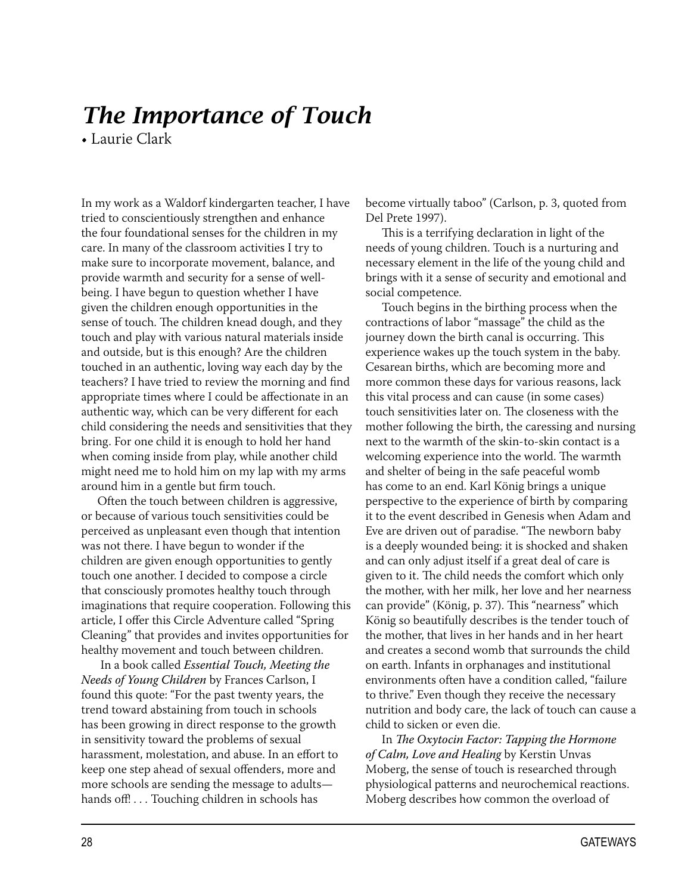# The Importance of Touch

• Laurie Clark

In my work as a Waldorf kindergarten teacher, I have tried to conscientiously strengthen and enhance the four foundational senses for the children in my care. In many of the classroom activities I try to make sure to incorporate movement, balance, and provide warmth and security for a sense of wellbeing. I have begun to question whether I have given the children enough opportunities in the sense of touch. The children knead dough, and they touch and play with various natural materials inside and outside, but is this enough? Are the children touched in an authentic, loving way each day by the teachers? I have tried to review the morning and find appropriate times where I could be affectionate in an authentic way, which can be very different for each child considering the needs and sensitivities that they bring. For one child it is enough to hold her hand when coming inside from play, while another child might need me to hold him on my lap with my arms around him in a gentle but firm touch.

Often the touch between children is aggressive, or because of various touch sensitivities could be perceived as unpleasant even though that intention was not there. I have begun to wonder if the children are given enough opportunities to gently touch one another. I decided to compose a circle that consciously promotes healthy touch through imaginations that require cooperation. Following this article, I offer this Circle Adventure called "Spring Cleaning" that provides and invites opportunities for healthy movement and touch between children.

In a book called Essential Touch, Meeting the Needs of Young Children by Frances Carlson, I found this quote: "For the past twenty years, the trend toward abstaining from touch in schools has been growing in direct response to the growth in sensitivity toward the problems of sexual harassment, molestation, and abuse. In an effort to keep one step ahead of sexual offenders, more and more schools are sending the message to adultshands off!... Touching children in schools has

become virtually taboo" (Carlson, p. 3, quoted from Del Prete 1997).

This is a terrifying declaration in light of the needs of young children. Touch is a nurturing and necessary element in the life of the young child and brings with it a sense of security and emotional and social competence.

Touch begins in the birthing process when the contractions of labor "massage" the child as the journey down the birth canal is occurring. This experience wakes up the touch system in the baby. Cesarean births, which are becoming more and more common these days for various reasons, lack this vital process and can cause (in some cases) touch sensitivities later on. The closeness with the mother following the birth, the caressing and nursing next to the warmth of the skin-to-skin contact is a welcoming experience into the world. The warmth and shelter of being in the safe peaceful womb has come to an end. Karl König brings a unique perspective to the experience of birth by comparing it to the event described in Genesis when Adam and Eve are driven out of paradise. "The newborn baby is a deeply wounded being: it is shocked and shaken and can only adjust itself if a great deal of care is given to it. The child needs the comfort which only the mother, with her milk, her love and her nearness can provide" (König, p. 37). This "nearness" which König so beautifully describes is the tender touch of the mother, that lives in her hands and in her heart and creates a second womb that surrounds the child on earth. Infants in orphanages and institutional environments often have a condition called, "failure to thrive." Even though they receive the necessary nutrition and body care, the lack of touch can cause a child to sicken or even die.

In The Oxytocin Factor: Tapping the Hormone of Calm, Love and Healing by Kerstin Unvas Moberg, the sense of touch is researched through physiological patterns and neurochemical reactions. Moberg describes how common the overload of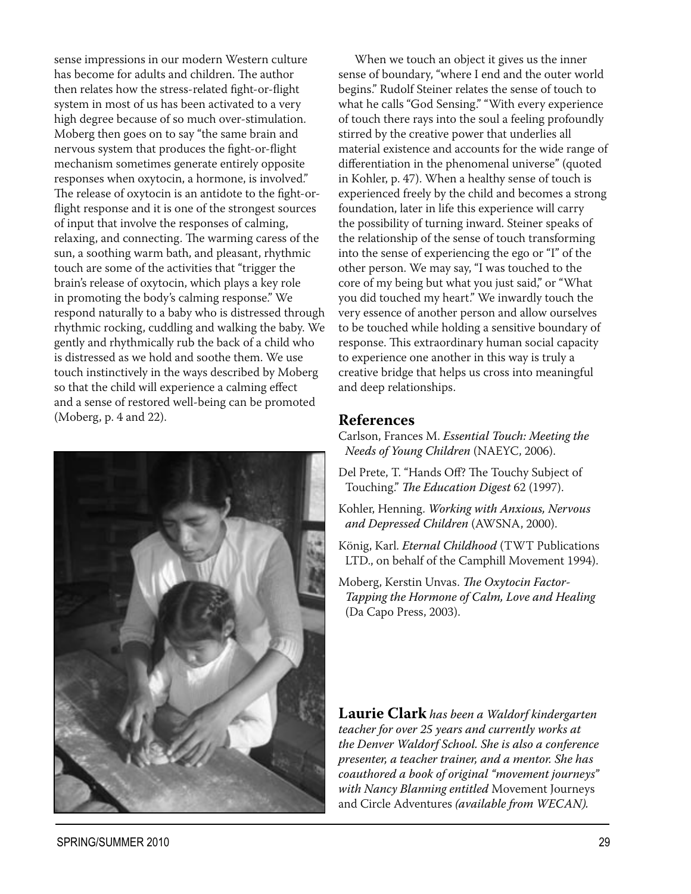sense impressions in our modern Western culture has become for adults and children. The author then relates how the stress-related fight-or-flight system in most of us has been activated to a very high degree because of so much over-stimulation. Moberg then goes on to say "the same brain and nervous system that produces the fight-or-flight mechanism sometimes generate entirely opposite responses when oxytocin, a hormone, is involved." The release of oxytocin is an antidote to the fight-orflight response and it is one of the strongest sources of input that involve the responses of calming, relaxing, and connecting. The warming caress of the sun, a soothing warm bath, and pleasant, rhythmic touch are some of the activities that "trigger the brain's release of oxytocin, which plays a key role in promoting the body's calming response." We respond naturally to a baby who is distressed through rhythmic rocking, cuddling and walking the baby. We gently and rhythmically rub the back of a child who is distressed as we hold and soothe them. We use touch instinctively in the ways described by Moberg so that the child will experience a calming effect and a sense of restored well-being can be promoted (Moberg, p. 4 and 22).



When we touch an object it gives us the inner sense of boundary, "where I end and the outer world begins." Rudolf Steiner relates the sense of touch to what he calls "God Sensing." "With every experience of touch there rays into the soul a feeling profoundly stirred by the creative power that underlies all material existence and accounts for the wide range of differentiation in the phenomenal universe" (quoted in Kohler, p. 47). When a healthy sense of touch is experienced freely by the child and becomes a strong foundation, later in life this experience will carry the possibility of turning inward. Steiner speaks of the relationship of the sense of touch transforming into the sense of experiencing the ego or "I" of the other person. We may say, "I was touched to the core of my being but what you just said," or "What you did touched my heart." We inwardly touch the very essence of another person and allow ourselves to be touched while holding a sensitive boundary of response. This extraordinary human social capacity to experience one another in this way is truly a creative bridge that helps us cross into meaningful and deep relationships.

#### **References**

Carlson, Frances M. Essential Touch: Meeting the Needs of Young Children (NAEYC, 2006).

- Del Prete, T. "Hands Off? The Touchy Subject of Touching." The Education Digest 62 (1997).
- Kohler, Henning. Working with Anxious, Nervous and Depressed Children (AWSNA, 2000).
- König, Karl. Eternal Childhood (TWT Publications LTD., on behalf of the Camphill Movement 1994).
- Moberg, Kerstin Unvas. The Oxytocin Factor-Tapping the Hormone of Calm, Love and Healing (Da Capo Press, 2003).

**Laurie Clark** has been a Waldorf kindergarten teacher for over 25 years and currently works at the Denver Waldorf School. She is also a conference presenter, a teacher trainer, and a mentor. She has coauthored a book of original "movement journeys" with Nancy Blanning entitled Movement Journeys and Circle Adventures (available from WECAN).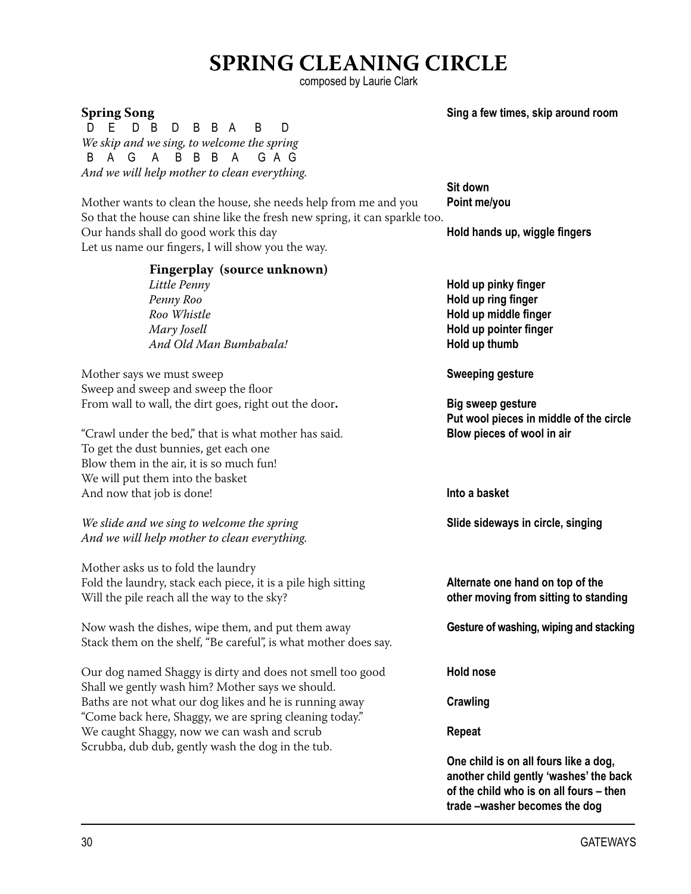### **5PRING CLEANING CIRCLE**

composed by Laurie Clark

 D E D B D B B A B D We skip and we sing, to welcome the spring<br> $\begin{array}{cccc} B & A & G & A & B & B & A & G & A & G \end{array}$ B A G A B B B A And we will help mother to clean everything.

Mother wants to clean the house, she needs help from me and you **Point me/you** So that the house can shine like the fresh new spring, it can sparkle too. Our hands shall do good work this day **hold hands up, wiggle fingers** Let us name our fingers, I will show you the way.

**Sit down** the contract of the contract of the contract of the Sit down

| Fingerplay (source unknown)<br>Little Penny<br>Penny Roo<br>Roo Whistle<br>Mary Josell<br>And Old Man Bumbabala!                                                                                                                       | Hold up pinky finger<br>Hold up ring finger<br>Hold up middle finger<br>Hold up pointer finger<br>Hold up thumb |
|----------------------------------------------------------------------------------------------------------------------------------------------------------------------------------------------------------------------------------------|-----------------------------------------------------------------------------------------------------------------|
| Mother says we must sweep<br>Sweep and sweep and sweep the floor                                                                                                                                                                       | <b>Sweeping gesture</b>                                                                                         |
| From wall to wall, the dirt goes, right out the door.<br>"Crawl under the bed," that is what mother has said.<br>To get the dust bunnies, get each one<br>Blow them in the air, it is so much fun!<br>We will put them into the basket | <b>Big sweep gesture</b><br>Put wool pieces in middle of the circle<br>Blow pieces of wool in air               |
| And now that job is done!                                                                                                                                                                                                              | Into a basket                                                                                                   |
| We slide and we sing to welcome the spring<br>And we will help mother to clean everything.                                                                                                                                             | Slide sideways in circle, singing                                                                               |
| Mother asks us to fold the laundry<br>Fold the laundry, stack each piece, it is a pile high sitting<br>Will the pile reach all the way to the sky?                                                                                     | Alternate one hand on top of the<br>other moving from sitting to standing                                       |
| Now wash the dishes, wipe them, and put them away<br>Stack them on the shelf, "Be careful", is what mother does say.                                                                                                                   | Gesture of washing, wiping and stacking                                                                         |
| Our dog named Shaggy is dirty and does not smell too good<br>Shall we gently wash him? Mother says we should.                                                                                                                          | <b>Hold nose</b>                                                                                                |
| Baths are not what our dog likes and he is running away<br>"Come back here, Shaggy, we are spring cleaning today."                                                                                                                     | Crawling                                                                                                        |
| We caught Shaggy, now we can wash and scrub<br>Scrubba, dub dub, gently wash the dog in the tub.                                                                                                                                       | <b>Repeat</b>                                                                                                   |
|                                                                                                                                                                                                                                        | One child is on all fours like a dog,                                                                           |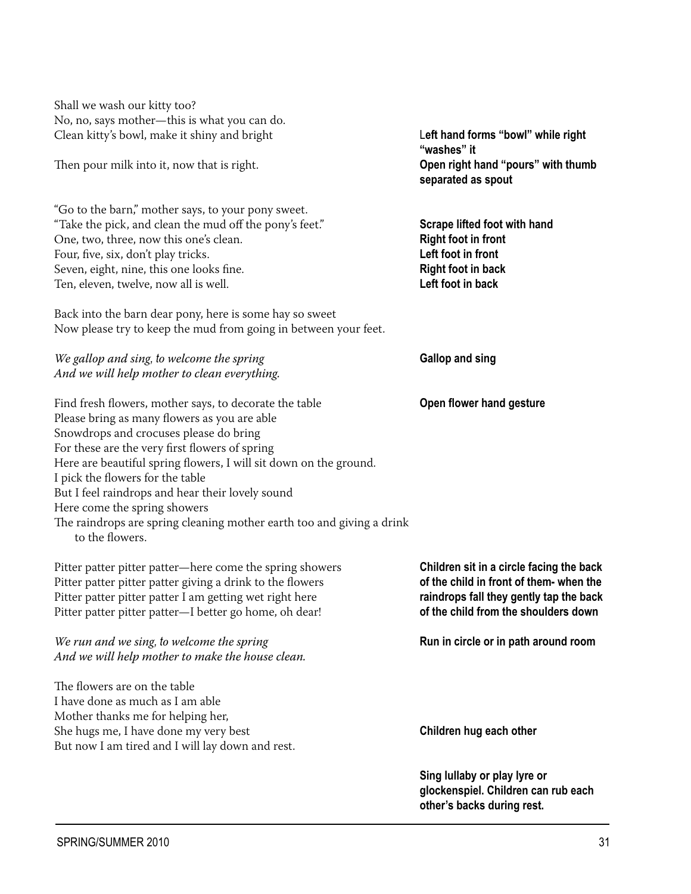Shall we wash our kitty too? No, no, says mother-this is what you can do. Clean kitty's bowl, make it shiny and bright

Then pour milk into it, now that is right.

"Go to the barn," mother says, to your pony sweet. "Take the pick, and clean the mud off the pony's feet." One, two, three, now this one's clean. Four, five, six, don't play tricks. Seven, eight, nine, this one looks fine. Ten, eleven, twelve, now all is well.

Back into the barn dear pony, here is some hay so sweet Now please try to keep the mud from going in between your feet.

#### We gallop and sing, to welcome the spring And we will help mother to clean everything.

Find fresh flowers, mother says, to decorate the table Please bring as many flowers as you are able Snowdrops and crocuses please do bring For these are the very first flowers of spring Here are beautiful spring flowers, I will sit down on the ground. I pick the flowers for the table But I feel raindrops and hear their lovely sound Here come the spring showers The raindrops are spring cleaning mother earth too and giving a drink to the flowers.

Pitter patter pitter patter—here come the spring showers Pitter patter pitter patter giving a drink to the flowers Pitter patter pitter patter I am getting wet right here Pitter patter pitter patter-I better go home, oh dear!

#### We run and we sing, to welcome the spring And we will help mother to make the house clean.

The flowers are on the table I have done as much as I am able Mother thanks me for helping her, She hugs me, I have done my very best But now I am tired and I will lay down and rest. Left hand forms "bowl" while right "washes" it Open right hand "pours" with thumb separated as spout

Scrape lifted foot with hand **Right foot in front** Left foot in front **Right foot in back** Left foot in back

**Gallop and sing** 

Open flower hand gesture

Children sit in a circle facing the back of the child in front of them- when the raindrops fall they gently tap the back of the child from the shoulders down

Run in circle or in path around room

Children hug each other

Sing lullaby or play lyre or glockenspiel. Children can rub each other's backs during rest.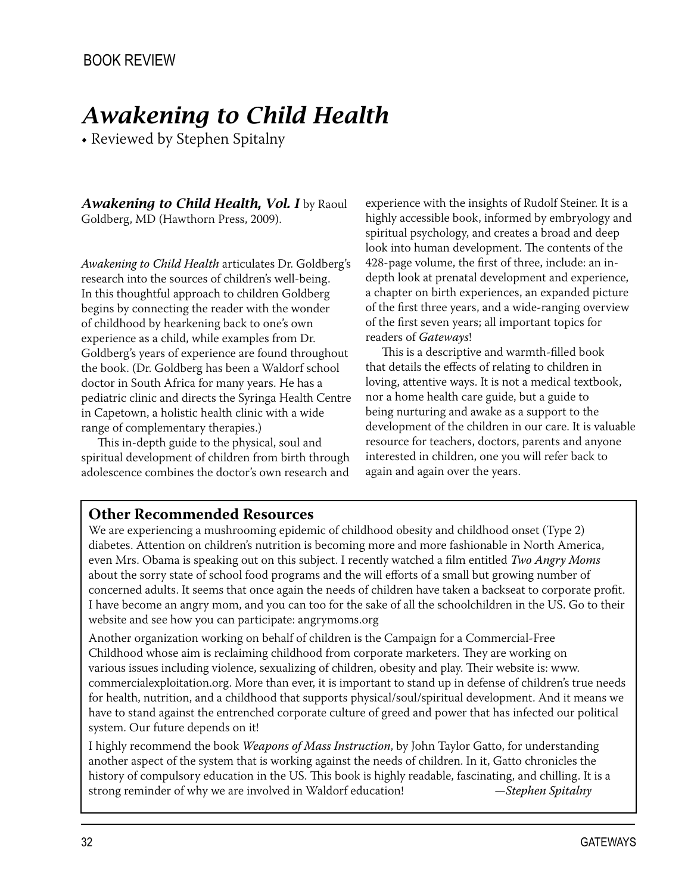# **Awakening to Child Health**

• Reviewed by Stephen Spitalny

Awakening to Child Health, Vol. I by Raoul Goldberg, MD (Hawthorn Press, 2009).

Awakening to Child Health articulates Dr. Goldberg's research into the sources of children's well-being. In this thoughtful approach to children Goldberg begins by connecting the reader with the wonder of childhood by hearkening back to one's own experience as a child, while examples from Dr. Goldberg's years of experience are found throughout the book. (Dr. Goldberg has been a Waldorf school doctor in South Africa for many years. He has a pediatric clinic and directs the Syringa Health Centre in Capetown, a holistic health clinic with a wide range of complementary therapies.)

This in-depth guide to the physical, soul and spiritual development of children from birth through adolescence combines the doctor's own research and experience with the insights of Rudolf Steiner. It is a highly accessible book, informed by embryology and spiritual psychology, and creates a broad and deep look into human development. The contents of the 428-page volume, the first of three, include: an indepth look at prenatal development and experience, a chapter on birth experiences, an expanded picture of the first three years, and a wide-ranging overview of the first seven years; all important topics for readers of Gateways!

This is a descriptive and warmth-filled book that details the effects of relating to children in loving, attentive ways. It is not a medical textbook, nor a home health care guide, but a guide to being nurturing and awake as a support to the development of the children in our care. It is valuable resource for teachers, doctors, parents and anyone interested in children, one you will refer back to again and again over the years.

#### **Other Recommended Resources**

We are experiencing a mushrooming epidemic of childhood obesity and childhood onset (Type 2) diabetes. Attention on children's nutrition is becoming more and more fashionable in North America, even Mrs. Obama is speaking out on this subject. I recently watched a film entitled Two Angry Moms about the sorry state of school food programs and the will efforts of a small but growing number of concerned adults. It seems that once again the needs of children have taken a backseat to corporate profit. I have become an angry mom, and you can too for the sake of all the schoolchildren in the US. Go to their website and see how you can participate: angrymoms.org

Another organization working on behalf of children is the Campaign for a Commercial-Free Childhood whose aim is reclaiming childhood from corporate marketers. They are working on various issues including violence, sexualizing of children, obesity and play. Their website is: www. commercialexploitation.org. More than ever, it is important to stand up in defense of children's true needs for health, nutrition, and a childhood that supports physical/soul/spiritual development. And it means we have to stand against the entrenched corporate culture of greed and power that has infected our political system. Our future depends on it!

I highly recommend the book Weapons of Mass Instruction, by John Taylor Gatto, for understanding another aspect of the system that is working against the needs of children. In it, Gatto chronicles the history of compulsory education in the US. This book is highly readable, fascinating, and chilling. It is a strong reminder of why we are involved in Waldorf education!  $-$ Stephen Spitalny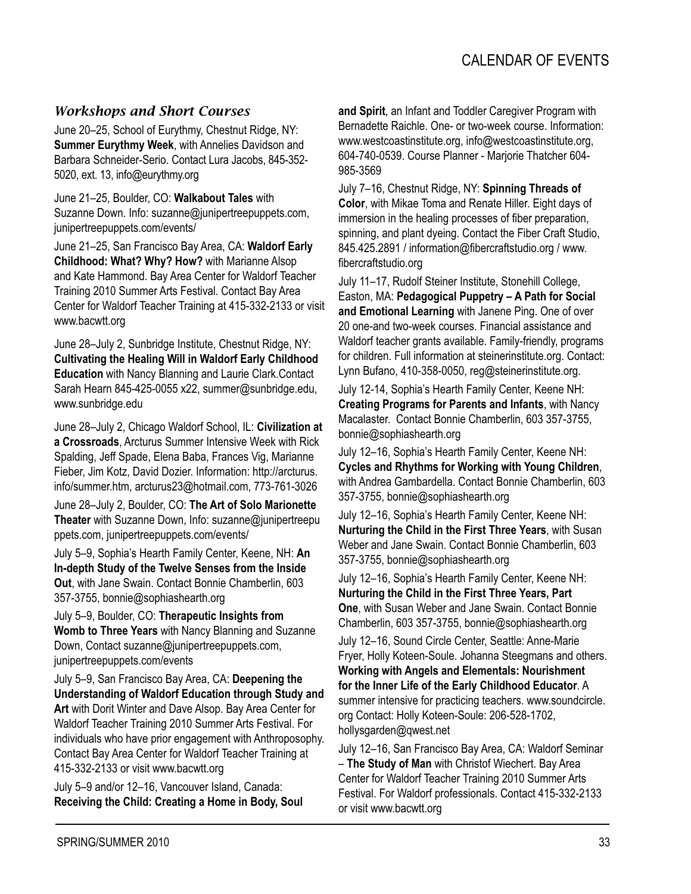#### *Workshops and Short Courses*

June 20–25, School of Eurythmy, Chestnut Ridge, NY: **Summer Eurythmy Week**, with Annelies Davidson and Barbara Schneider-Serio. Contact Lura Jacobs, 845-352- 5020, ext. 13, info@eurythmy.org

June 21–25, Boulder, CO: **Walkabout Tales** with Suzanne Down. Info: suzanne@junipertreepuppets.com, junipertreepuppets.com/events/

June 21–25, San Francisco Bay Area, CA: **Waldorf Early Childhood: What? Why? How?** with Marianne Alsop and Kate Hammond. Bay Area Center for Waldorf Teacher Training 2010 Summer Arts Festival. Contact Bay Area Center for Waldorf Teacher Training at 415-332-2133 or visit www.bacwtt.org

June 28–July 2, Sunbridge Institute, Chestnut Ridge, NY: **Cultivating the Healing Will in Waldorf Early Childhood Education** with Nancy Blanning and Laurie Clark.Contact Sarah Hearn 845-425-0055 x22, summer@sunbridge.edu, www.sunbridge.edu

June 28–July 2, Chicago Waldorf School, IL: **Civilization at a Crossroads**, Arcturus Summer Intensive Week with Rick Spalding, Jeff Spade, Elena Baba, Frances Vig, Marianne Fieber, Jim Kotz, David Dozier. Information: http://arcturus. info/summer.htm, arcturus23@hotmail.com, 773-761-3026

June 28–July 2, Boulder, CO: **The Art of Solo Marionette Theater** with Suzanne Down, Info: suzanne@junipertreepu ppets.com, junipertreepuppets.com/events/

July 5–9, Sophia's Hearth Family Center, Keene, NH: **An In-depth Study of the Twelve Senses from the Inside Out**, with Jane Swain. Contact Bonnie Chamberlin, 603 357-3755, bonnie@sophiashearth.org

July 5–9, Boulder, CO: **Therapeutic Insights from Womb to Three Years** with Nancy Blanning and Suzanne Down, Contact suzanne@junipertreepuppets.com, junipertreepuppets.com/events

July 5–9, San Francisco Bay Area, CA: **Deepening the Understanding of Waldorf Education through Study and Art** with Dorit Winter and Dave Alsop. Bay Area Center for Waldorf Teacher Training 2010 Summer Arts Festival. For individuals who have prior engagement with Anthroposophy. Contact Bay Area Center for Waldorf Teacher Training at 415-332-2133 or visit www.bacwtt.org

July 5–9 and/or 12–16, Vancouver Island, Canada: **Receiving the Child: Creating a Home in Body, Soul**  **and Spirit**, an Infant and Toddler Caregiver Program with Bernadette Raichle. One- or two-week course. Information: www.westcoastinstitute.org, info@westcoastinstitute.org, 604-740-0539. Course Planner - Marjorie Thatcher 604- 985-3569

July 7–16, Chestnut Ridge, NY: **Spinning Threads of Color**, with Mikae Toma and Renate Hiller. Eight days of immersion in the healing processes of fiber preparation, spinning, and plant dyeing. Contact the Fiber Craft Studio, 845.425.2891 / information@fibercraftstudio.org / www. fibercraftstudio.org

July 11–17, Rudolf Steiner Institute, Stonehill College, Easton, MA: **Pedagogical Puppetry – A Path for Social and Emotional Learning** with Janene Ping. One of over 20 one-and two-week courses. Financial assistance and Waldorf teacher grants available. Family-friendly, programs for children. Full information at steinerinstitute.org. Contact: Lynn Bufano, 410-358-0050, reg@steinerinstitute.org.

July 12-14, Sophia's Hearth Family Center, Keene NH: **Creating Programs for Parents and Infants**, with Nancy Macalaster. Contact Bonnie Chamberlin, 603 357-3755, bonnie@sophiashearth.org

July 12–16, Sophia's Hearth Family Center, Keene NH: **Cycles and Rhythms for Working with Young Children**, with Andrea Gambardella. Contact Bonnie Chamberlin, 603 357-3755, bonnie@sophiashearth.org

July 12–16, Sophia's Hearth Family Center, Keene NH: **Nurturing the Child in the First Three Years**, with Susan Weber and Jane Swain. Contact Bonnie Chamberlin, 603 357-3755, bonnie@sophiashearth.org

July 12–16, Sophia's Hearth Family Center, Keene NH: **Nurturing the Child in the First Three Years, Part One**, with Susan Weber and Jane Swain. Contact Bonnie Chamberlin, 603 357-3755, bonnie@sophiashearth.org

July 12–16, Sound Circle Center, Seattle: Anne-Marie Fryer, Holly Koteen-Soule. Johanna Steegmans and others. **Working with Angels and Elementals: Nourishment for the Inner Life of the Early Childhood Educator**. A summer intensive for practicing teachers. www.soundcircle. org Contact: Holly Koteen-Soule: 206-528-1702, hollysgarden@qwest.net

July 12–16, San Francisco Bay Area, CA: Waldorf Seminar – **The Study of Man** with Christof Wiechert. Bay Area Center for Waldorf Teacher Training 2010 Summer Arts Festival. For Waldorf professionals. Contact 415-332-2133 or visit www.bacwtt.org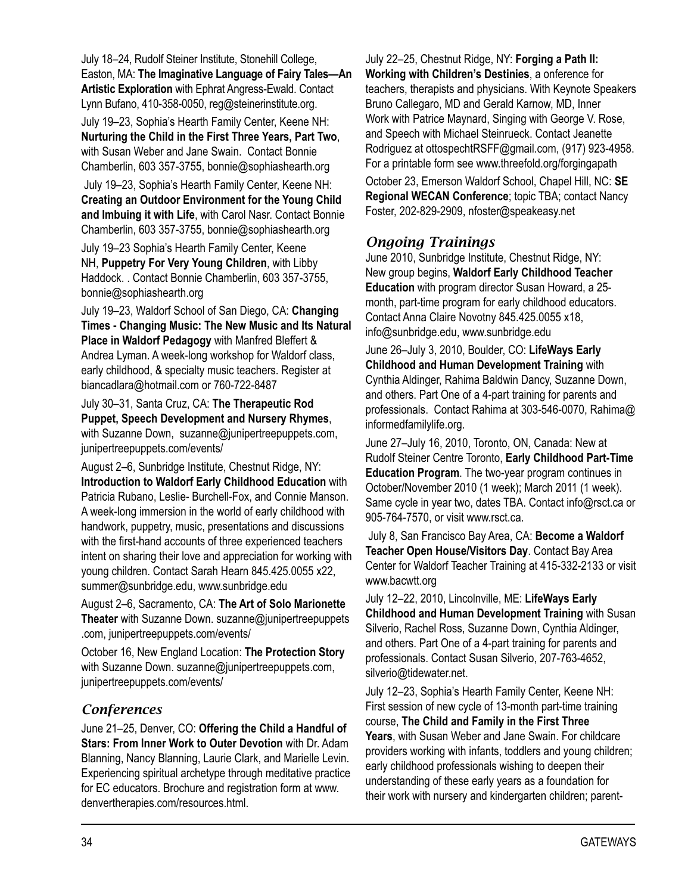July 18–24, Rudolf Steiner Institute, Stonehill College, Easton, MA: **The Imaginative Language of Fairy Tales—An Artistic Exploration** with Ephrat Angress-Ewald. Contact Lynn Bufano, 410-358-0050, reg@steinerinstitute.org.

July 19–23, Sophia's Hearth Family Center, Keene NH: **Nurturing the Child in the First Three Years, Part Two**, with Susan Weber and Jane Swain. Contact Bonnie Chamberlin, 603 357-3755, bonnie@sophiashearth.org

 July 19–23, Sophia's Hearth Family Center, Keene NH: **Creating an Outdoor Environment for the Young Child and Imbuing it with Life**, with Carol Nasr. Contact Bonnie Chamberlin, 603 357-3755, bonnie@sophiashearth.org

July 19–23 Sophia's Hearth Family Center, Keene NH, **Puppetry For Very Young Children**, with Libby Haddock. . Contact Bonnie Chamberlin, 603 357-3755, bonnie@sophiashearth.org

July 19–23, Waldorf School of San Diego, CA: **Changing Times - Changing Music: The New Music and Its Natural Place in Waldorf Pedagogy** with Manfred Bleffert & Andrea Lyman. A week-long workshop for Waldorf class, early childhood, & specialty music teachers. Register at biancadlara@hotmail.com or 760-722-8487

July 30–31, Santa Cruz, CA: **The Therapeutic Rod Puppet, Speech Development and Nursery Rhymes**, with Suzanne Down, suzanne@junipertreepuppets.com, junipertreepuppets.com/events/

August 2–6, Sunbridge Institute, Chestnut Ridge, NY: **Introduction to Waldorf Early Childhood Education** with Patricia Rubano, Leslie- Burchell-Fox, and Connie Manson. A week-long immersion in the world of early childhood with handwork, puppetry, music, presentations and discussions with the first-hand accounts of three experienced teachers intent on sharing their love and appreciation for working with young children. Contact Sarah Hearn 845.425.0055 x22, summer@sunbridge.edu, www.sunbridge.edu

August 2–6, Sacramento, CA: **The Art of Solo Marionette Theater** with Suzanne Down. suzanne@junipertreepuppets .com, junipertreepuppets.com/events/

October 16, New England Location: **The Protection Story** with Suzanne Down. suzanne@junipertreepuppets.com, junipertreepuppets.com/events/

#### *Conferences*

June 21–25, Denver, CO: **Offering the Child a Handful of Stars: From Inner Work to Outer Devotion** with Dr. Adam Blanning, Nancy Blanning, Laurie Clark, and Marielle Levin. Experiencing spiritual archetype through meditative practice for EC educators. Brochure and registration form at www. denvertherapies.com/resources.html.

July 22–25, Chestnut Ridge, NY: **Forging a Path II: Working with Children's Destinies**, a onference for teachers, therapists and physicians. With Keynote Speakers Bruno Callegaro, MD and Gerald Karnow, MD, Inner Work with Patrice Maynard, Singing with George V. Rose, and Speech with Michael Steinrueck. Contact Jeanette Rodriguez at ottospechtRSFF@gmail.com, (917) 923-4958. For a printable form see www.threefold.org/forgingapath

October 23, Emerson Waldorf School, Chapel Hill, NC: **SE Regional WECAN Conference**; topic TBA; contact Nancy Foster, 202-829-2909, nfoster@speakeasy.net

#### *Ongoing Trainings*

June 2010, Sunbridge Institute, Chestnut Ridge, NY: New group begins, **Waldorf Early Childhood Teacher Education** with program director Susan Howard, a 25 month, part-time program for early childhood educators. Contact Anna Claire Novotny 845.425.0055 x18, info@sunbridge.edu, www.sunbridge.edu

June 26–July 3, 2010, Boulder, CO: **LifeWays Early Childhood and Human Development Training** with Cynthia Aldinger, Rahima Baldwin Dancy, Suzanne Down, and others. Part One of a 4-part training for parents and professionals. Contact Rahima at 303-546-0070, Rahima@ informedfamilylife.org.

June 27–July 16, 2010, Toronto, ON, Canada: New at Rudolf Steiner Centre Toronto, **Early Childhood Part-Time Education Program**. The two-year program continues in October/November 2010 (1 week); March 2011 (1 week). Same cycle in year two, dates TBA. Contact info@rsct.ca or 905-764-7570, or visit www.rsct.ca.

 July 8, San Francisco Bay Area, CA: **Become a Waldorf Teacher Open House/Visitors Day**. Contact Bay Area Center for Waldorf Teacher Training at 415-332-2133 or visit www.bacwtt.org

July 12–22, 2010, Lincolnville, ME: **LifeWays Early Childhood and Human Development Training** with Susan Silverio, Rachel Ross, Suzanne Down, Cynthia Aldinger, and others. Part One of a 4-part training for parents and professionals. Contact Susan Silverio, 207-763-4652, silverio@tidewater.net.

July 12–23, Sophia's Hearth Family Center, Keene NH: First session of new cycle of 13-month part-time training course, **The Child and Family in the First Three Years**, with Susan Weber and Jane Swain. For childcare providers working with infants, toddlers and young children; early childhood professionals wishing to deepen their understanding of these early years as a foundation for their work with nursery and kindergarten children; parent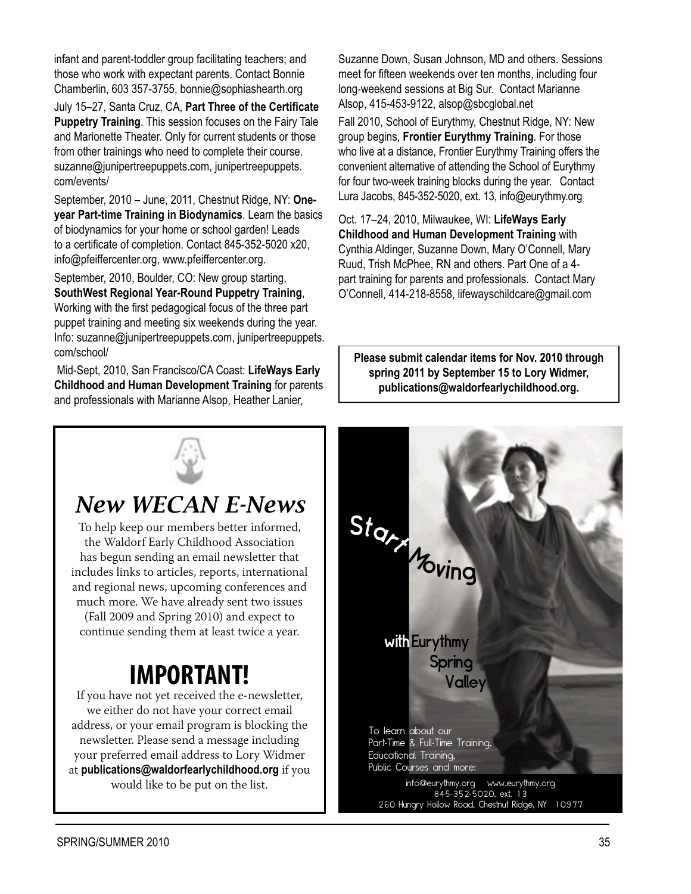infant and parent-toddler group facilitating teachers; and those who work with expectant parents. Contact Bonnie Chamberlin, 603 357-3755, bonnie@sophiashearth.org

July 15–27, Santa Cruz, CA, **Part Three of the Certificate Puppetry Training**. This session focuses on the Fairy Tale and Marionette Theater. Only for current students or those from other trainings who need to complete their course. suzanne@junipertreepuppets.com, junipertreepuppets. com/events/

September, 2010 – June, 2011, Chestnut Ridge, NY: **Oneyear Part-time Training in Biodynamics**. Learn the basics of biodynamics for your home or school garden! Leads to a certificate of completion. Contact 845-352-5020 x20, info@pfeiffercenter.org, www.pfeiffercenter.org.

September, 2010, Boulder, CO: New group starting, **SouthWest Regional Year-Round Puppetry Training**, Working with the first pedagogical focus of the three part puppet training and meeting six weekends during the year. Info: suzanne@junipertreepuppets.com, junipertreepuppets. com/school/

 Mid-Sept, 2010, San Francisco/CA Coast: **LifeWays Early Childhood and Human Development Training** for parents and professionals with Marianne Alsop, Heather Lanier,

Suzanne Down, Susan Johnson, MD and others. Sessions meet for fifteen weekends over ten months, including four long-weekend sessions at Big Sur. Contact Marianne Alsop, 415-453-9122, alsop@sbcglobal.net

Fall 2010, School of Eurythmy, Chestnut Ridge, NY: New group begins, **Frontier Eurythmy Training**. For those who live at a distance, Frontier Eurythmy Training offers the convenient alternative of attending the School of Eurythmy for four two-week training blocks during the year. Contact Lura Jacobs, 845-352-5020, ext. 13, info@eurythmy.org

Oct. 17–24, 2010, Milwaukee, WI: **LifeWays Early Childhood and Human Development Training** with Cynthia Aldinger, Suzanne Down, Mary O'Connell, Mary Ruud, Trish McPhee, RN and others. Part One of a 4 part training for parents and professionals. Contact Mary O'Connell, 414-218-8558, lifewayschildcare@gmail.com

**Please submit calendar items for Nov. 2010 through spring 2011 by September 15 to Lory Widmer, publications@waldorfearlychildhood.org.**



## *New WECAN E-News*

To help keep our members better informed, the Waldorf Early Childhood Association has begun sending an email newsletter that includes links to articles, reports, international and regional news, upcoming conferences and much more. We have already sent two issues (Fall 2009 and Spring 2010) and expect to continue sending them at least twice a year.

# **IMPORTANT!**

If you have not yet received the e-newsletter, we either do not have your correct email address, or your email program is blocking the newsletter. Please send a message including your preferred email address to Lory Widmer at publications@waldorfearlychildhood.org if you would like to be put on the list.

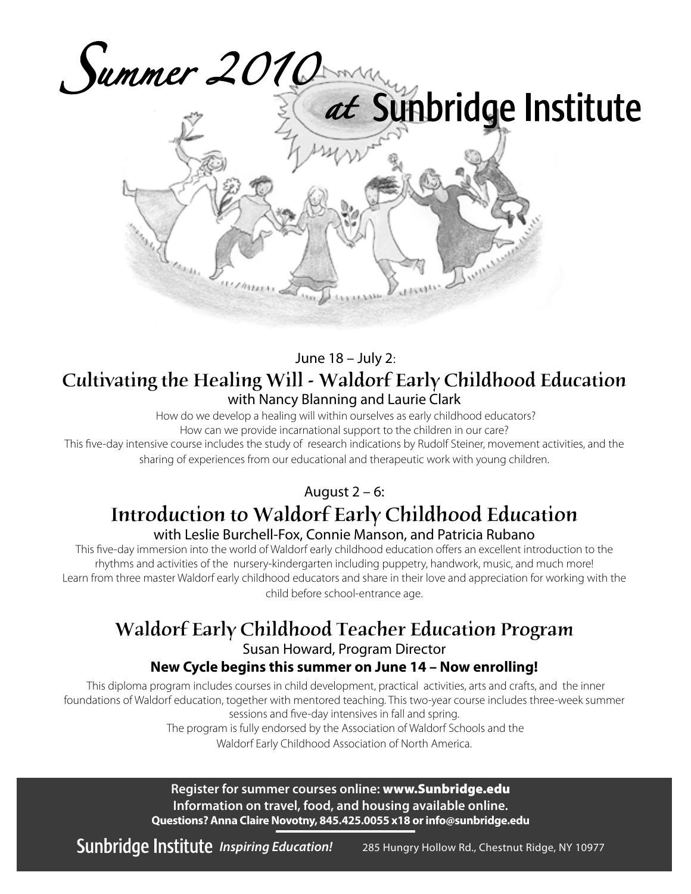



#### June 18 - July 2: Cultivating the Healing Will - Waldorf Early Childhood Education with Nancy Blanning and Laurie Clark

How do we develop a healing will within ourselves as early childhood educators? How can we provide incarnational support to the children in our care?

This five-day intensive course includes the study of research indications by Rudolf Steiner, movement activities, and the sharing of experiences from our educational and therapeutic work with young children.

August  $2 - 6$ :

### Introduction to Waldorf Early Childhood Education with Leslie Burchell-Fox, Connie Manson, and Patricia Rubano

This five-day immersion into the world of Waldorf early childhood education offers an excellent introduction to the rhythms and activities of the nursery-kindergarten including puppetry, handwork, music, and much more! Learn from three master Waldorf early childhood educators and share in their love and appreciation for working with the child before school-entrance age.

### Waldorf Early Childhood Teacher Education Program

Susan Howard, Program Director

#### New Cycle begins this summer on June 14 - Now enrolling!

This diploma program includes courses in child development, practical activities, arts and crafts, and the inner foundations of Waldorf education, together with mentored teaching. This two-year course includes three-week summer sessions and five-day intensives in fall and spring.

The program is fully endorsed by the Association of Waldorf Schools and the Waldorf Early Childhood Association of North America.

Register for summer courses online: www.Sunbridge.edu Information on travel, food, and housing available online. Questions? Anna Claire Novotny, 845.425.0055 x18 or info@sunbridge.edu

Sunbridge Institute Inspiring Education! 285 Hungry Hollow Rd., Chestnut Ridge, NY 10977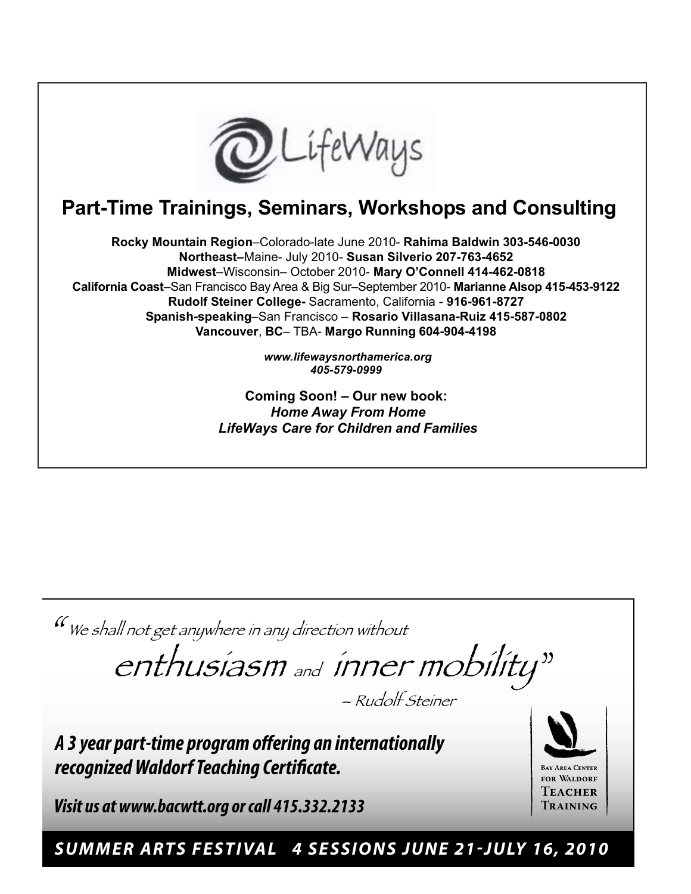

### **Part-Time Trainings, Seminars, Workshops and Consulting**

**Rocky Mountain Region**–Colorado-late June 2010- **Rahima Baldwin 303-546-0030 Northeast–**Maine- July 2010- **Susan Silverio 207-763-4652 Midwest**–Wisconsin– October 2010- **Mary O'Connell 414-462-0818 California Coast**–San Francisco Bay Area & Big Sur–September 2010- **Marianne Alsop 415-453-9122 Rudolf Steiner College-** Sacramento, California - **916-961-8727 Spanish-speaking**–San Francisco – **Rosario Villasana-Ruiz 415-587-0802 Vancouver**, **BC**– TBA- **Margo Running 604-904-4198**

> *www.lifewaysnorthamerica.org 405-579-0999*

**Coming Soon! – Our new book:** *Home Away From Home LifeWays Care for Children and Families*

 $\mathcal U$ We shall not get anywhere in any direction without

" enthusiasm and inner mobility

– Rudolf Steiner

A 3 year part-time program offering an internationally recognized Waldorf Teaching Certificate.

**Visit us at www.bacwtt.org or call 415.332.2133** 

**BAY AREA CENTER** FOR WALDORF Teacher Training

SUMMER ARTS FESTIVAL 4 SESSIONS JUNE 21-JULY 16, 2010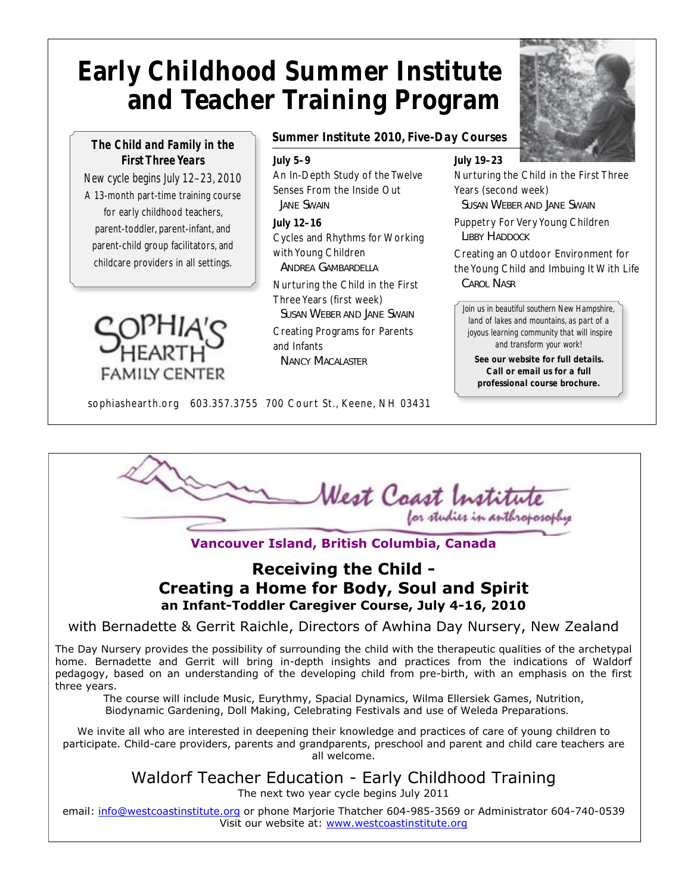# **Early Childhood Summer Institute and Teacher Training Program**

#### *The Child and Family in the First Three Years*

*New cycle begins July 12–23, 2010* A 13-month part-time training course for early childhood teachers, parent-toddler, parent-infant, and parent-child group facilitators, and childcare providers in all settings.



#### *Summer Institute 2010, Five-Day Courses*

#### *July 5–9*

An In-Depth Study of the Twelve Senses From the Inside Out *JANE SWAIN*

*July 12–16* Cycles and Rhythms for Working with Young Children *ANDREA GAMBARDELLA*

Nurturing the Child in the First Three Years (first week)

*SUSAN WEBER AND JANE SWAIN*

Creating Programs for Parents and Infants *NANCY MACALASTER*

*July 19–23*

Nurturing the Child in the First Three Years (second week) *SUSAN WEBER AND JANE SWAIN*

Puppetry For Very Young Children *LIBBY HADDOCK*

Creating an Outdoor Environment for the Young Child and Imbuing It With Life *CAROL NASR*

*Join us in beautiful southern New Hampshire, land of lakes and mountains, as part of a joyous learning community that will inspire and transform your work!*

*See our website for full details. Call or email us for a full professional course brochure.*

sophiashearth.org 603.357.3755 700 Court St., Keene, NH 03431

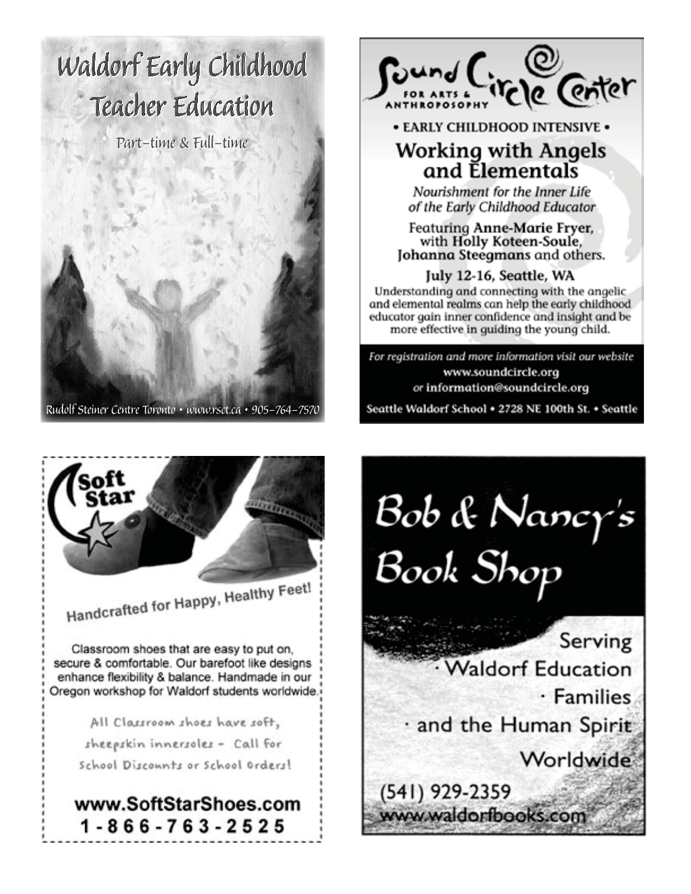# Waldorf Early Childhood Teacher Education

Part-time & Full-time



Rudolf Steiner Centre Toronto · www.rsct.ca · 905-764-7570



• EARLY CHILDHOOD INTENSIVE .

### **Working with Angels** and Elementals

Nourishment for the Inner Life of the Early Childhood Educator

**Featuring Anne-Marie Fryer,** with Holly Koteen-Soule, Johanna Steegmans and others.

July 12-16, Seattle, WA Understanding and connecting with the angelic.

and elemental realms can help the early childhood educator gain inner confidence and insight and be more effective in guiding the young child.

For registration and more information visit our website www.soundcircle.org or information@soundcircle.org

Seattle Waldorf School . 2728 NE 100th St. . Seattle



Handcrafted for Happy, Healthy Feet!

Classroom shoes that are easy to put on, secure & comfortable. Our barefoot like designs enhance flexibility & balance. Handmade in our Oregon workshop for Waldorf students worldwide.

> All Classroom shoes have soft, sheepskin innersoles - Call for School Discounts or School Orders!

### www.SoftStarShoes.com 1-866-763-2525

Bob & Nancy's<br>Book Shop Serving **Waldorf Education** · Families and the Human Spirit Worldwide

(541) 929-2359 www.waldorfbooks.com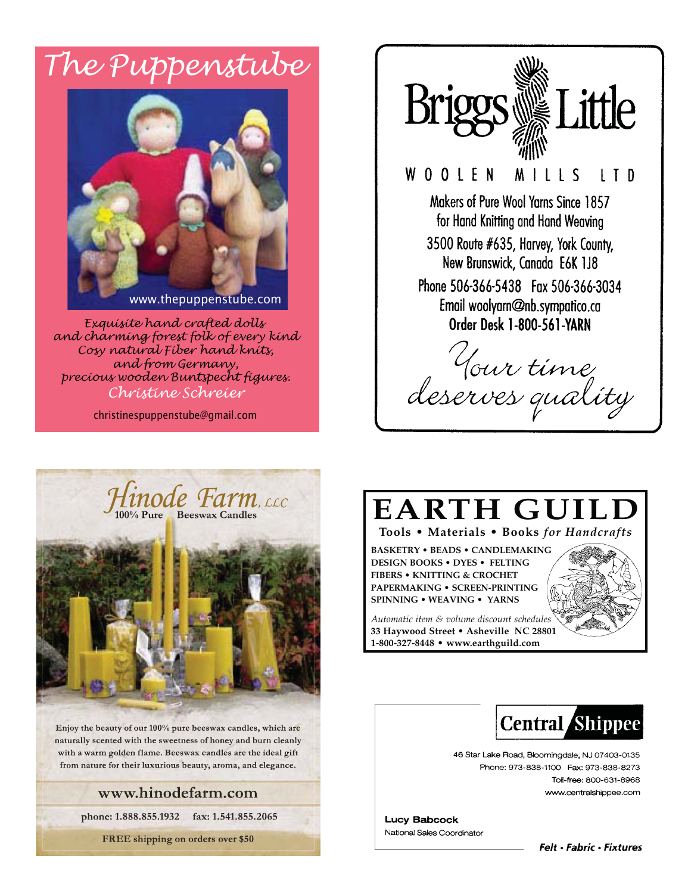# The Puppenstube



Exquisite hand crafted dolls and charming forest folk of every kind Cosy natural Fiber hand knits, and from Germany, precious wooden Buntspecht figures. Chrístine Schreier

christinespuppenstube@gmail.com

pgs We Little WOOLEN MILLS LT D Makers of Pure Wool Yarns Since 1857 for Hand Knitting and Hand Weaving 3500 Route #635, Harvey, York County, New Brunswick, Canada E6K 1J8 Phone 506-366-5438 Fax 506-366-3034 Email woolyarn@nb.sympatico.ca **Order Desk 1-800-561-YARN** 

Your time<br>deserves quality



Enjoy the beauty of our 100% pure beeswax candles, which are naturally scented with the sweetness of honey and burn cleanly with a warm golden flame. Beeswax candles are the ideal gift from nature for their luxurious beauty, aroma, and elegance.

#### www.hinodefarm.com

phone: 1.888.855.1932 fax: 1.541.855.2065

FREE shipping on orders over \$50

# **EARTH GUILI**

#### Tools . Materials . Books for Handcrafts

**BASKETRY • BEADS • CANDLEMAKING DESIGN BOOKS . DYES . FELTING FIBERS • KNITTING & CROCHET PAPERMAKING . SCREEN-PRINTING SPINNING • WEAVING • YARNS** 

Automatic item & volume discount schedules 33 Haywood Street . Asheville NC 28801 1-800-327-8448 · www.earthguild.com





46 Star Lake Road, Bloomingdale, NJ 07403-0135 Phone: 973-838-1100 Fax: 973-838-8273 Toll-free: 800-631-8968 www.centralshippee.com

**Lucy Babcock** National Sales Coordinator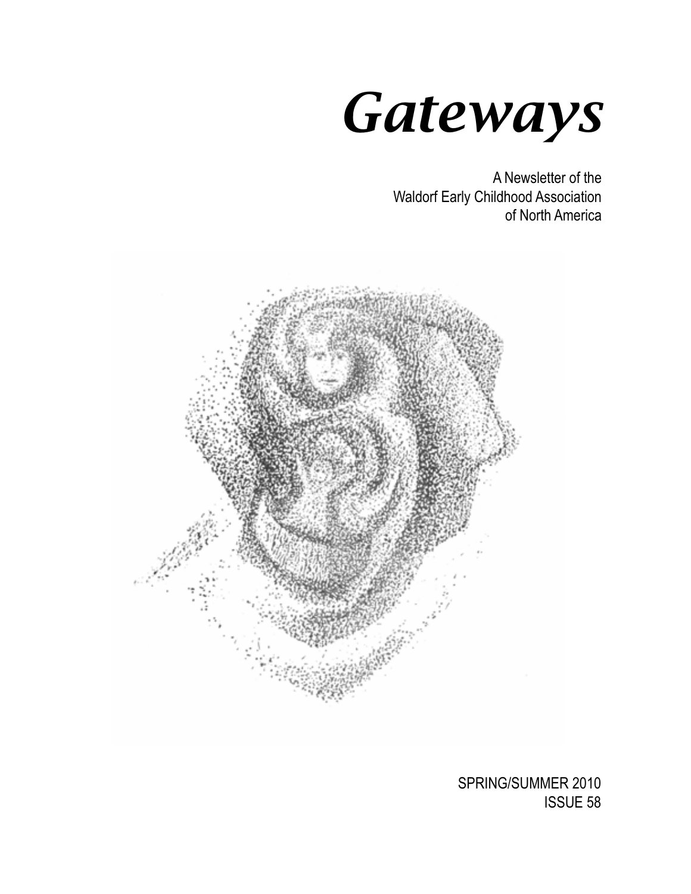

A Newsletter of the Waldorf Early Childhood Association of North America



SPRING/SUMMER 2010 ISSUE 58